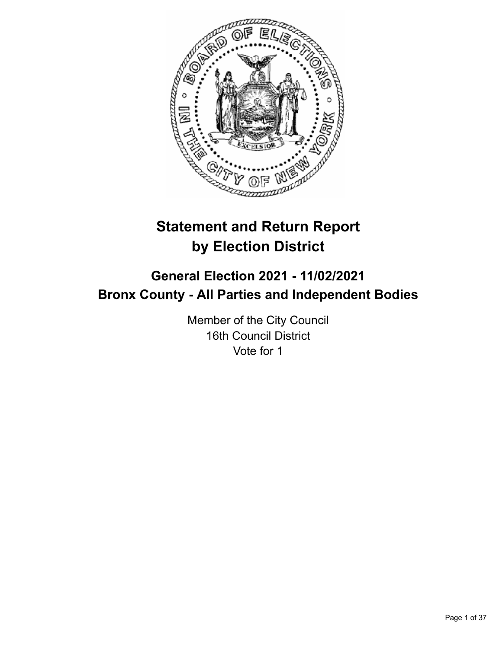

# **Statement and Return Report by Election District**

# **General Election 2021 - 11/02/2021 Bronx County - All Parties and Independent Bodies**

Member of the City Council 16th Council District Vote for 1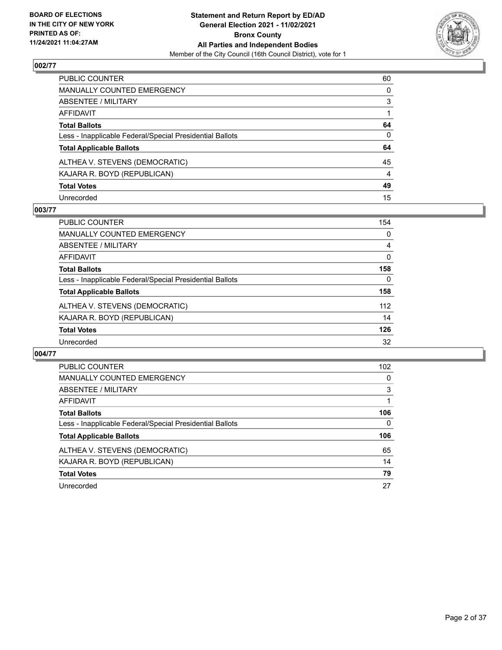

| PUBLIC COUNTER                                           | 60             |
|----------------------------------------------------------|----------------|
| MANUALLY COUNTED EMERGENCY                               | $\mathbf{0}$   |
| ABSENTEE / MILITARY                                      | 3              |
| AFFIDAVIT                                                |                |
| Total Ballots                                            | 64             |
| Less - Inapplicable Federal/Special Presidential Ballots | $\mathbf{0}$   |
| <b>Total Applicable Ballots</b>                          | 64             |
| ALTHEA V. STEVENS (DEMOCRATIC)                           | 45             |
| KAJARA R. BOYD (REPUBLICAN)                              | $\overline{4}$ |
| <b>Total Votes</b>                                       | 49             |
| Unrecorded                                               | 15             |

## **003/77**

| <b>PUBLIC COUNTER</b>                                    | 154      |
|----------------------------------------------------------|----------|
| MANUALLY COUNTED EMERGENCY                               | 0        |
| ABSENTEE / MILITARY                                      | 4        |
| AFFIDAVIT                                                | $\Omega$ |
| <b>Total Ballots</b>                                     | 158      |
| Less - Inapplicable Federal/Special Presidential Ballots | 0        |
| <b>Total Applicable Ballots</b>                          | 158      |
| ALTHEA V. STEVENS (DEMOCRATIC)                           | 112      |
| KAJARA R. BOYD (REPUBLICAN)                              | 14       |
| <b>Total Votes</b>                                       | 126      |
| Unrecorded                                               | 32       |

| <b>PUBLIC COUNTER</b>                                    | 102 <sub>2</sub> |
|----------------------------------------------------------|------------------|
| <b>MANUALLY COUNTED EMERGENCY</b>                        | $\Omega$         |
| <b>ABSENTEE / MILITARY</b>                               | 3                |
| AFFIDAVIT                                                |                  |
| <b>Total Ballots</b>                                     | 106              |
| Less - Inapplicable Federal/Special Presidential Ballots | 0                |
| <b>Total Applicable Ballots</b>                          | 106              |
| ALTHEA V. STEVENS (DEMOCRATIC)                           | 65               |
| KAJARA R. BOYD (REPUBLICAN)                              | 14               |
| <b>Total Votes</b>                                       | 79               |
|                                                          |                  |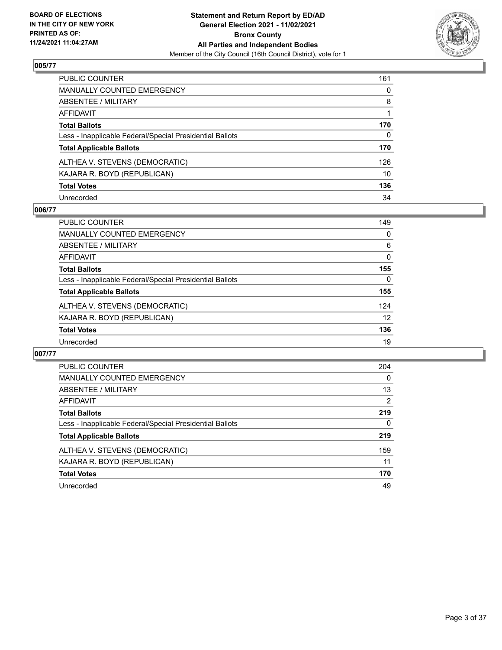

| PUBLIC COUNTER                                           | 161      |
|----------------------------------------------------------|----------|
| MANUALLY COUNTED EMERGENCY                               | 0        |
| ABSENTEE / MILITARY                                      | 8        |
| AFFIDAVIT                                                |          |
| Total Ballots                                            | 170      |
| Less - Inapplicable Federal/Special Presidential Ballots | $\Omega$ |
| <b>Total Applicable Ballots</b>                          | 170      |
| ALTHEA V. STEVENS (DEMOCRATIC)                           | 126      |
| KAJARA R. BOYD (REPUBLICAN)                              | 10       |
| <b>Total Votes</b>                                       | 136      |
| Unrecorded                                               | 34       |

## **006/77**

| <b>PUBLIC COUNTER</b>                                    | 149          |
|----------------------------------------------------------|--------------|
| MANUALLY COUNTED EMERGENCY                               | 0            |
| ABSENTEE / MILITARY                                      | 6            |
| AFFIDAVIT                                                | $\Omega$     |
| <b>Total Ballots</b>                                     | 155          |
| Less - Inapplicable Federal/Special Presidential Ballots | $\mathbf{0}$ |
| <b>Total Applicable Ballots</b>                          | 155          |
| ALTHEA V. STEVENS (DEMOCRATIC)                           | 124          |
| KAJARA R. BOYD (REPUBLICAN)                              | 12           |
| <b>Total Votes</b>                                       | 136          |
| Unrecorded                                               | 19           |

| <b>PUBLIC COUNTER</b>                                    | 204            |
|----------------------------------------------------------|----------------|
| <b>MANUALLY COUNTED EMERGENCY</b>                        | $\Omega$       |
| ABSENTEE / MILITARY                                      | 13             |
| AFFIDAVIT                                                | $\overline{2}$ |
| <b>Total Ballots</b>                                     | 219            |
| Less - Inapplicable Federal/Special Presidential Ballots | 0              |
| <b>Total Applicable Ballots</b>                          | 219            |
| ALTHEA V. STEVENS (DEMOCRATIC)                           | 159            |
| KAJARA R. BOYD (REPUBLICAN)                              | 11             |
| <b>Total Votes</b>                                       | 170            |
| Unrecorded                                               | 49             |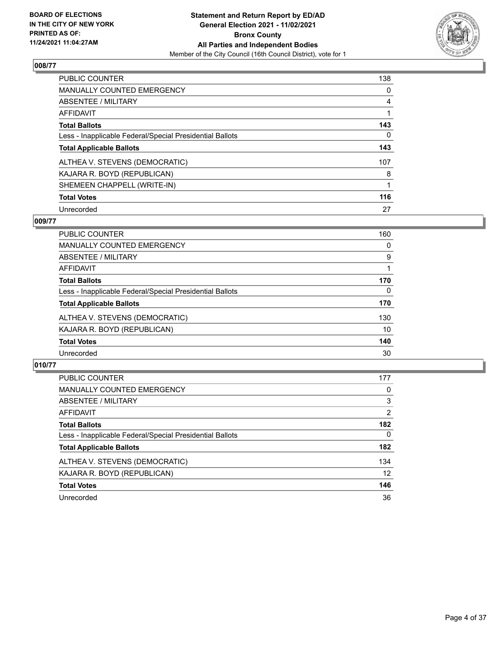

| PUBLIC COUNTER                                           | 138      |
|----------------------------------------------------------|----------|
| <b>MANUALLY COUNTED EMERGENCY</b>                        | $\Omega$ |
| ABSENTEE / MILITARY                                      | 4        |
| AFFIDAVIT                                                |          |
| <b>Total Ballots</b>                                     | 143      |
| Less - Inapplicable Federal/Special Presidential Ballots | 0        |
| <b>Total Applicable Ballots</b>                          | 143      |
| ALTHEA V. STEVENS (DEMOCRATIC)                           | 107      |
| KAJARA R. BOYD (REPUBLICAN)                              | 8        |
| SHEMEEN CHAPPELL (WRITE-IN)                              |          |
| <b>Total Votes</b>                                       | 116      |
| Unrecorded                                               | 27       |

## **009/77**

| <b>PUBLIC COUNTER</b>                                    | 160 |
|----------------------------------------------------------|-----|
| <b>MANUALLY COUNTED EMERGENCY</b>                        | 0   |
| ABSENTEE / MILITARY                                      | 9   |
| <b>AFFIDAVIT</b>                                         |     |
| <b>Total Ballots</b>                                     | 170 |
| Less - Inapplicable Federal/Special Presidential Ballots | 0   |
| <b>Total Applicable Ballots</b>                          | 170 |
| ALTHEA V. STEVENS (DEMOCRATIC)                           | 130 |
| KAJARA R. BOYD (REPUBLICAN)                              | 10  |
| <b>Total Votes</b>                                       | 140 |
| Unrecorded                                               | 30  |

| <b>PUBLIC COUNTER</b>                                    | 177            |
|----------------------------------------------------------|----------------|
| MANUALLY COUNTED EMERGENCY                               | 0              |
| ABSENTEE / MILITARY                                      | 3              |
| AFFIDAVIT                                                | $\overline{2}$ |
| <b>Total Ballots</b>                                     | 182            |
| Less - Inapplicable Federal/Special Presidential Ballots | $\Omega$       |
| <b>Total Applicable Ballots</b>                          | 182            |
| ALTHEA V. STEVENS (DEMOCRATIC)                           | 134            |
| KAJARA R. BOYD (REPUBLICAN)                              | 12             |
| <b>Total Votes</b>                                       | 146            |
| Unrecorded                                               | 36             |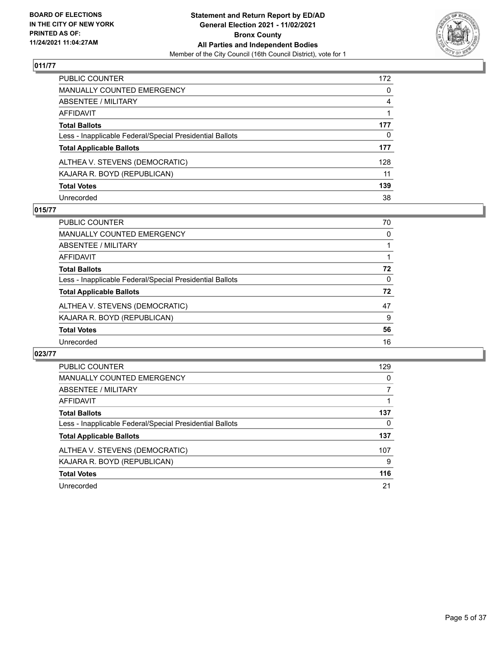

| PUBLIC COUNTER                                           | 172            |
|----------------------------------------------------------|----------------|
| MANUALLY COUNTED EMERGENCY                               | $\mathbf{0}$   |
| ABSENTEE / MILITARY                                      | $\overline{4}$ |
| AFFIDAVIT                                                |                |
| Total Ballots                                            | 177            |
| Less - Inapplicable Federal/Special Presidential Ballots | 0              |
| <b>Total Applicable Ballots</b>                          | 177            |
| ALTHEA V. STEVENS (DEMOCRATIC)                           | 128            |
| KAJARA R. BOYD (REPUBLICAN)                              | 11             |
| <b>Total Votes</b>                                       | 139            |
| Unrecorded                                               | 38             |

## **015/77**

| <b>PUBLIC COUNTER</b>                                    | 70       |
|----------------------------------------------------------|----------|
| <b>MANUALLY COUNTED EMERGENCY</b>                        | 0        |
| ABSENTEE / MILITARY                                      |          |
| AFFIDAVIT                                                |          |
| <b>Total Ballots</b>                                     | 72       |
| Less - Inapplicable Federal/Special Presidential Ballots | $\Omega$ |
| <b>Total Applicable Ballots</b>                          | 72       |
| ALTHEA V. STEVENS (DEMOCRATIC)                           | 47       |
| KAJARA R. BOYD (REPUBLICAN)                              | 9        |
| <b>Total Votes</b>                                       | 56       |
| Unrecorded                                               | 16       |

| <b>PUBLIC COUNTER</b>                                    | 129 |
|----------------------------------------------------------|-----|
| <b>MANUALLY COUNTED EMERGENCY</b>                        | 0   |
| <b>ABSENTEE / MILITARY</b>                               |     |
| AFFIDAVIT                                                |     |
| <b>Total Ballots</b>                                     | 137 |
| Less - Inapplicable Federal/Special Presidential Ballots | 0   |
| <b>Total Applicable Ballots</b>                          | 137 |
| ALTHEA V. STEVENS (DEMOCRATIC)                           | 107 |
| KAJARA R. BOYD (REPUBLICAN)                              | 9   |
| <b>Total Votes</b>                                       | 116 |
| Unrecorded                                               | 21  |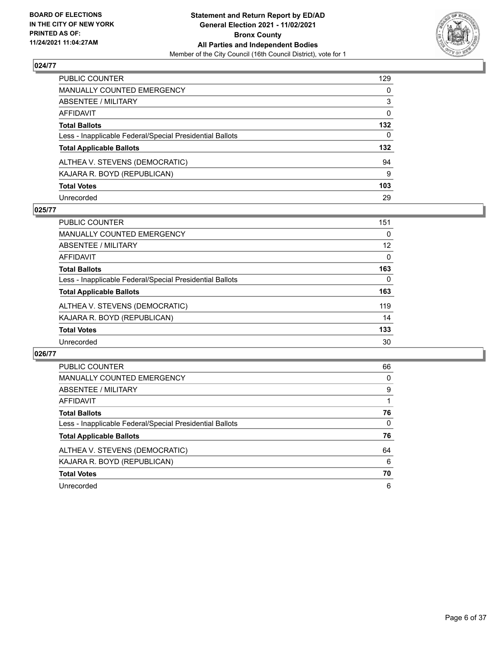

| PUBLIC COUNTER                                           | 129      |
|----------------------------------------------------------|----------|
| MANUALLY COUNTED EMERGENCY                               | 0        |
| ABSENTEE / MILITARY                                      | 3        |
| AFFIDAVIT                                                | 0        |
| Total Ballots                                            | 132      |
| Less - Inapplicable Federal/Special Presidential Ballots | $\Omega$ |
| <b>Total Applicable Ballots</b>                          | 132      |
| ALTHEA V. STEVENS (DEMOCRATIC)                           | 94       |
| KAJARA R. BOYD (REPUBLICAN)                              | 9        |
| <b>Total Votes</b>                                       | 103      |
| Unrecorded                                               | 29       |

## **025/77**

| <b>PUBLIC COUNTER</b>                                    | 151      |
|----------------------------------------------------------|----------|
| MANUALLY COUNTED EMERGENCY                               | 0        |
| ABSENTEE / MILITARY                                      | 12       |
| AFFIDAVIT                                                | $\Omega$ |
| <b>Total Ballots</b>                                     | 163      |
| Less - Inapplicable Federal/Special Presidential Ballots | $\Omega$ |
| <b>Total Applicable Ballots</b>                          | 163      |
| ALTHEA V. STEVENS (DEMOCRATIC)                           | 119      |
| KAJARA R. BOYD (REPUBLICAN)                              | 14       |
| <b>Total Votes</b>                                       | 133      |
| Unrecorded                                               | 30       |

| <b>PUBLIC COUNTER</b>                                    | 66       |
|----------------------------------------------------------|----------|
| <b>MANUALLY COUNTED EMERGENCY</b>                        | 0        |
| ABSENTEE / MILITARY                                      | 9        |
| <b>AFFIDAVIT</b>                                         |          |
| <b>Total Ballots</b>                                     | 76       |
| Less - Inapplicable Federal/Special Presidential Ballots | $\Omega$ |
| <b>Total Applicable Ballots</b>                          | 76       |
| ALTHEA V. STEVENS (DEMOCRATIC)                           | 64       |
| KAJARA R. BOYD (REPUBLICAN)                              | 6        |
| <b>Total Votes</b>                                       | 70       |
| Unrecorded                                               | 6        |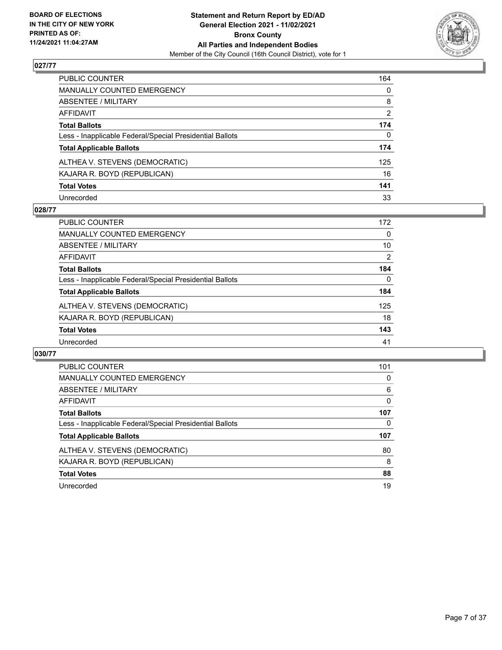

| PUBLIC COUNTER                                           | 164            |
|----------------------------------------------------------|----------------|
| MANUALLY COUNTED EMERGENCY                               | $\mathbf{0}$   |
| ABSENTEE / MILITARY                                      | 8              |
| AFFIDAVIT                                                | $\overline{2}$ |
| Total Ballots                                            | 174            |
| Less - Inapplicable Federal/Special Presidential Ballots | 0              |
| <b>Total Applicable Ballots</b>                          | 174            |
| ALTHEA V. STEVENS (DEMOCRATIC)                           | 125            |
| KAJARA R. BOYD (REPUBLICAN)                              | 16             |
| <b>Total Votes</b>                                       | 141            |
| Unrecorded                                               | 33             |

## **028/77**

| PUBLIC COUNTER                                           | 172      |
|----------------------------------------------------------|----------|
| MANUALLY COUNTED EMERGENCY                               | 0        |
| ABSENTEE / MILITARY                                      | 10       |
| AFFIDAVIT                                                | 2        |
| <b>Total Ballots</b>                                     | 184      |
| Less - Inapplicable Federal/Special Presidential Ballots | $\Omega$ |
| <b>Total Applicable Ballots</b>                          | 184      |
| ALTHEA V. STEVENS (DEMOCRATIC)                           | 125      |
| KAJARA R. BOYD (REPUBLICAN)                              | 18       |
| <b>Total Votes</b>                                       | 143      |
| Unrecorded                                               | 41       |

| PUBLIC COUNTER                                           | 101 |
|----------------------------------------------------------|-----|
| <b>MANUALLY COUNTED EMERGENCY</b>                        | 0   |
| ABSENTEE / MILITARY                                      | 6   |
| <b>AFFIDAVIT</b>                                         | 0   |
| <b>Total Ballots</b>                                     | 107 |
| Less - Inapplicable Federal/Special Presidential Ballots | 0   |
| <b>Total Applicable Ballots</b>                          | 107 |
| ALTHEA V. STEVENS (DEMOCRATIC)                           | 80  |
| KAJARA R. BOYD (REPUBLICAN)                              | 8   |
| <b>Total Votes</b>                                       | 88  |
| Unrecorded                                               | 19  |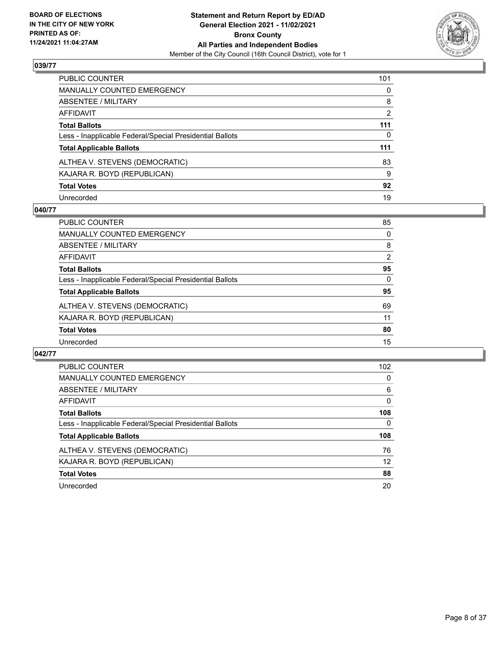

| PUBLIC COUNTER                                           | 101            |
|----------------------------------------------------------|----------------|
| MANUALLY COUNTED EMERGENCY                               | $\mathbf{0}$   |
| ABSENTEE / MILITARY                                      | 8              |
| AFFIDAVIT                                                | $\overline{2}$ |
| Total Ballots                                            | 111            |
| Less - Inapplicable Federal/Special Presidential Ballots | 0              |
| <b>Total Applicable Ballots</b>                          | 111            |
| ALTHEA V. STEVENS (DEMOCRATIC)                           | 83             |
| KAJARA R. BOYD (REPUBLICAN)                              | 9              |
| <b>Total Votes</b>                                       | 92             |
| Unrecorded                                               | 19             |

## **040/77**

| PUBLIC COUNTER                                           | 85       |
|----------------------------------------------------------|----------|
| <b>MANUALLY COUNTED EMERGENCY</b>                        | $\Omega$ |
| ABSENTEE / MILITARY                                      | 8        |
| AFFIDAVIT                                                | 2        |
| <b>Total Ballots</b>                                     | 95       |
| Less - Inapplicable Federal/Special Presidential Ballots | $\Omega$ |
| <b>Total Applicable Ballots</b>                          | 95       |
| ALTHEA V. STEVENS (DEMOCRATIC)                           | 69       |
| KAJARA R. BOYD (REPUBLICAN)                              | 11       |
| <b>Total Votes</b>                                       | 80       |
| Unrecorded                                               | 15       |

| PUBLIC COUNTER                                           | 102      |
|----------------------------------------------------------|----------|
| <b>MANUALLY COUNTED EMERGENCY</b>                        | $\Omega$ |
| ABSENTEE / MILITARY                                      | 6        |
| AFFIDAVIT                                                | $\Omega$ |
| <b>Total Ballots</b>                                     | 108      |
| Less - Inapplicable Federal/Special Presidential Ballots | $\Omega$ |
| <b>Total Applicable Ballots</b>                          | 108      |
| ALTHEA V. STEVENS (DEMOCRATIC)                           | 76       |
| KAJARA R. BOYD (REPUBLICAN)                              | 12       |
| <b>Total Votes</b>                                       | 88       |
| Unrecorded                                               | 20       |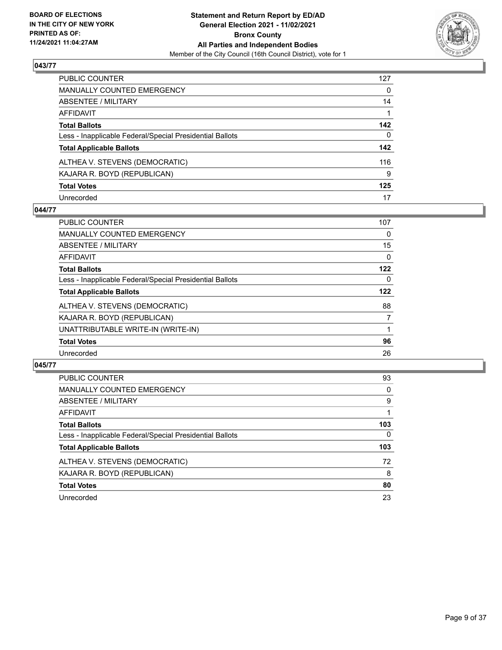

| PUBLIC COUNTER                                           | 127          |
|----------------------------------------------------------|--------------|
| MANUALLY COUNTED EMERGENCY                               | $\mathbf{0}$ |
| ABSENTEE / MILITARY                                      | 14           |
| AFFIDAVIT                                                |              |
| Total Ballots                                            | 142          |
| Less - Inapplicable Federal/Special Presidential Ballots | $\mathbf{0}$ |
| <b>Total Applicable Ballots</b>                          | 142          |
| ALTHEA V. STEVENS (DEMOCRATIC)                           | 116          |
| KAJARA R. BOYD (REPUBLICAN)                              | 9            |
| <b>Total Votes</b>                                       | 125          |
| Unrecorded                                               | 17           |

## **044/77**

| <b>PUBLIC COUNTER</b>                                    | 107      |
|----------------------------------------------------------|----------|
| <b>MANUALLY COUNTED EMERGENCY</b>                        | 0        |
| ABSENTEE / MILITARY                                      | 15       |
| <b>AFFIDAVIT</b>                                         | $\Omega$ |
| <b>Total Ballots</b>                                     | 122      |
| Less - Inapplicable Federal/Special Presidential Ballots | $\Omega$ |
| <b>Total Applicable Ballots</b>                          | 122      |
| ALTHEA V. STEVENS (DEMOCRATIC)                           | 88       |
| KAJARA R. BOYD (REPUBLICAN)                              | 7        |
| UNATTRIBUTABLE WRITE-IN (WRITE-IN)                       |          |
| <b>Total Votes</b>                                       | 96       |
| Unrecorded                                               | 26       |

| <b>PUBLIC COUNTER</b>                                    | 93       |
|----------------------------------------------------------|----------|
| <b>MANUALLY COUNTED EMERGENCY</b>                        | 0        |
| ABSENTEE / MILITARY                                      | 9        |
| AFFIDAVIT                                                |          |
| <b>Total Ballots</b>                                     | 103      |
| Less - Inapplicable Federal/Special Presidential Ballots | $\Omega$ |
| <b>Total Applicable Ballots</b>                          | 103      |
| ALTHEA V. STEVENS (DEMOCRATIC)                           | 72       |
| KAJARA R. BOYD (REPUBLICAN)                              | 8        |
| <b>Total Votes</b>                                       | 80       |
| Unrecorded                                               | 23       |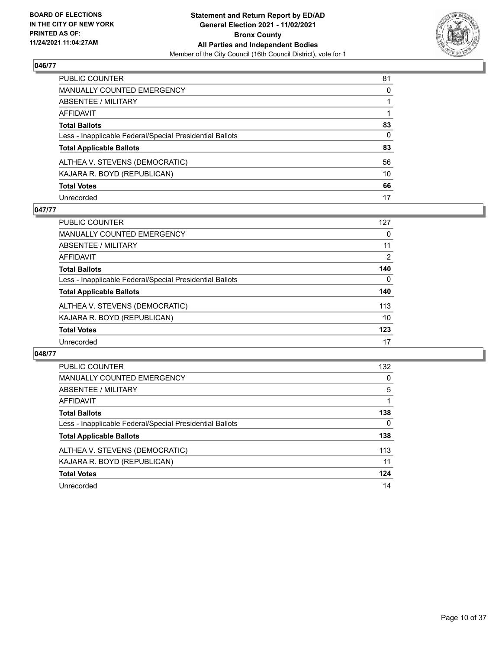

| PUBLIC COUNTER                                           | 81           |
|----------------------------------------------------------|--------------|
| MANUALLY COUNTED EMERGENCY                               | $\mathbf{0}$ |
| ABSENTEE / MILITARY                                      |              |
| AFFIDAVIT                                                |              |
| Total Ballots                                            | 83           |
| Less - Inapplicable Federal/Special Presidential Ballots | $\mathbf{0}$ |
| <b>Total Applicable Ballots</b>                          | 83           |
| ALTHEA V. STEVENS (DEMOCRATIC)                           | 56           |
| KAJARA R. BOYD (REPUBLICAN)                              | 10           |
| <b>Total Votes</b>                                       | 66           |
| Unrecorded                                               | 17           |

## **047/77**

| PUBLIC COUNTER                                           | 127      |
|----------------------------------------------------------|----------|
| MANUALLY COUNTED EMERGENCY                               | 0        |
| ABSENTEE / MILITARY                                      | 11       |
| AFFIDAVIT                                                | 2        |
| <b>Total Ballots</b>                                     | 140      |
| Less - Inapplicable Federal/Special Presidential Ballots | $\Omega$ |
| <b>Total Applicable Ballots</b>                          | 140      |
| ALTHEA V. STEVENS (DEMOCRATIC)                           | 113      |
| KAJARA R. BOYD (REPUBLICAN)                              | 10       |
| <b>Total Votes</b>                                       | 123      |
| Unrecorded                                               | 17       |

| <b>PUBLIC COUNTER</b>                                    | 132      |
|----------------------------------------------------------|----------|
| <b>MANUALLY COUNTED EMERGENCY</b>                        | $\Omega$ |
| ABSENTEE / MILITARY                                      | 5        |
| <b>AFFIDAVIT</b>                                         |          |
| <b>Total Ballots</b>                                     | 138      |
| Less - Inapplicable Federal/Special Presidential Ballots | 0        |
| <b>Total Applicable Ballots</b>                          | 138      |
| ALTHEA V. STEVENS (DEMOCRATIC)                           | 113      |
| KAJARA R. BOYD (REPUBLICAN)                              | 11       |
| <b>Total Votes</b>                                       | 124      |
| Unrecorded                                               | 14       |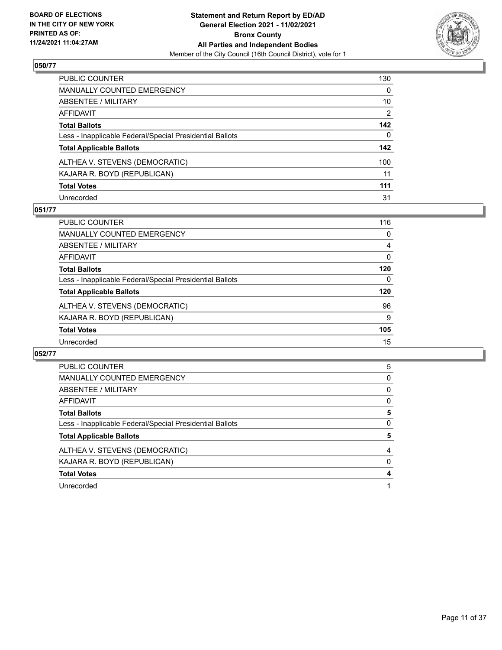

| PUBLIC COUNTER                                           | 130      |
|----------------------------------------------------------|----------|
| MANUALLY COUNTED EMERGENCY                               | 0        |
| ABSENTEE / MILITARY                                      | 10       |
| AFFIDAVIT                                                | 2        |
| Total Ballots                                            | 142      |
| Less - Inapplicable Federal/Special Presidential Ballots | $\Omega$ |
| <b>Total Applicable Ballots</b>                          | 142      |
| ALTHEA V. STEVENS (DEMOCRATIC)                           | 100      |
| KAJARA R. BOYD (REPUBLICAN)                              | 11       |
| <b>Total Votes</b>                                       | 111      |
| Unrecorded                                               | 31       |

## **051/77**

| <b>PUBLIC COUNTER</b>                                    | 116 |
|----------------------------------------------------------|-----|
| <b>MANUALLY COUNTED EMERGENCY</b>                        | 0   |
| ABSENTEE / MILITARY                                      | 4   |
| AFFIDAVIT                                                | 0   |
| <b>Total Ballots</b>                                     | 120 |
| Less - Inapplicable Federal/Special Presidential Ballots | 0   |
| <b>Total Applicable Ballots</b>                          | 120 |
| ALTHEA V. STEVENS (DEMOCRATIC)                           | 96  |
| KAJARA R. BOYD (REPUBLICAN)                              | 9   |
| <b>Total Votes</b>                                       | 105 |
| Unrecorded                                               | 15  |

| <b>PUBLIC COUNTER</b>                                    |   |
|----------------------------------------------------------|---|
|                                                          | 5 |
| <b>MANUALLY COUNTED EMERGENCY</b>                        | 0 |
| <b>ABSENTEE / MILITARY</b>                               | 0 |
| AFFIDAVIT                                                | 0 |
| <b>Total Ballots</b>                                     | 5 |
|                                                          |   |
| Less - Inapplicable Federal/Special Presidential Ballots | 0 |
| <b>Total Applicable Ballots</b>                          | 5 |
| ALTHEA V. STEVENS (DEMOCRATIC)                           | 4 |
| KAJARA R. BOYD (REPUBLICAN)                              | 0 |
| <b>Total Votes</b>                                       | 4 |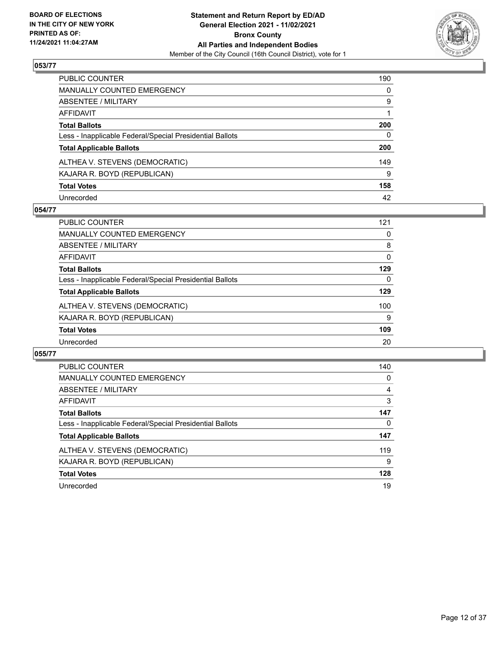

| PUBLIC COUNTER                                           | 190      |
|----------------------------------------------------------|----------|
| MANUALLY COUNTED EMERGENCY                               | 0        |
| ABSENTEE / MILITARY                                      | 9        |
| AFFIDAVIT                                                |          |
| Total Ballots                                            | 200      |
| Less - Inapplicable Federal/Special Presidential Ballots | $\Omega$ |
| <b>Total Applicable Ballots</b>                          | 200      |
| ALTHEA V. STEVENS (DEMOCRATIC)                           | 149      |
| KAJARA R. BOYD (REPUBLICAN)                              | 9        |
| <b>Total Votes</b>                                       | 158      |
| Unrecorded                                               | 42       |

## **054/77**

| <b>PUBLIC COUNTER</b>                                    | 121 |
|----------------------------------------------------------|-----|
| <b>MANUALLY COUNTED EMERGENCY</b>                        | 0   |
| ABSENTEE / MILITARY                                      | 8   |
| AFFIDAVIT                                                | 0   |
| <b>Total Ballots</b>                                     | 129 |
| Less - Inapplicable Federal/Special Presidential Ballots | 0   |
| <b>Total Applicable Ballots</b>                          | 129 |
| ALTHEA V. STEVENS (DEMOCRATIC)                           | 100 |
| KAJARA R. BOYD (REPUBLICAN)                              | 9   |
| <b>Total Votes</b>                                       | 109 |
| Unrecorded                                               | 20  |

| <b>PUBLIC COUNTER</b>                                    | 140 |
|----------------------------------------------------------|-----|
| <b>MANUALLY COUNTED EMERGENCY</b>                        | 0   |
| ABSENTEE / MILITARY                                      | 4   |
| <b>AFFIDAVIT</b>                                         | 3   |
| <b>Total Ballots</b>                                     | 147 |
| Less - Inapplicable Federal/Special Presidential Ballots | 0   |
| <b>Total Applicable Ballots</b>                          | 147 |
| ALTHEA V. STEVENS (DEMOCRATIC)                           | 119 |
| KAJARA R. BOYD (REPUBLICAN)                              | 9   |
| <b>Total Votes</b>                                       | 128 |
| Unrecorded                                               | 19  |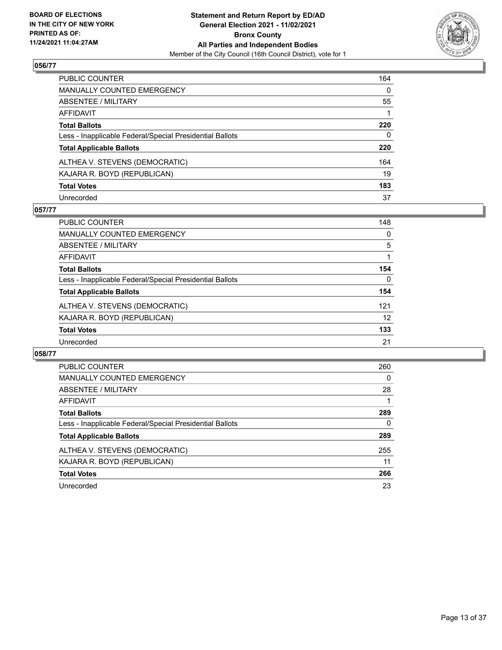

| PUBLIC COUNTER                                           | 164          |
|----------------------------------------------------------|--------------|
| MANUALLY COUNTED EMERGENCY                               | $\mathbf{0}$ |
| ABSENTEE / MILITARY                                      | 55           |
| AFFIDAVIT                                                |              |
| Total Ballots                                            | 220          |
| Less - Inapplicable Federal/Special Presidential Ballots | $\mathbf{0}$ |
| <b>Total Applicable Ballots</b>                          | 220          |
| ALTHEA V. STEVENS (DEMOCRATIC)                           | 164          |
| KAJARA R. BOYD (REPUBLICAN)                              | 19           |
| <b>Total Votes</b>                                       | 183          |
| Unrecorded                                               | 37           |

## **057/77**

| PUBLIC COUNTER                                           | 148      |
|----------------------------------------------------------|----------|
| MANUALLY COUNTED EMERGENCY                               | 0        |
| ABSENTEE / MILITARY                                      | 5        |
| AFFIDAVIT                                                |          |
| <b>Total Ballots</b>                                     | 154      |
| Less - Inapplicable Federal/Special Presidential Ballots | $\Omega$ |
| <b>Total Applicable Ballots</b>                          | 154      |
| ALTHEA V. STEVENS (DEMOCRATIC)                           | 121      |
| KAJARA R. BOYD (REPUBLICAN)                              | 12       |
| <b>Total Votes</b>                                       | 133      |
| Unrecorded                                               | 21       |

| <b>PUBLIC COUNTER</b>                                    | 260 |
|----------------------------------------------------------|-----|
| <b>MANUALLY COUNTED EMERGENCY</b>                        | 0   |
| ABSENTEE / MILITARY                                      | 28  |
| <b>AFFIDAVIT</b>                                         |     |
| <b>Total Ballots</b>                                     | 289 |
| Less - Inapplicable Federal/Special Presidential Ballots | 0   |
| <b>Total Applicable Ballots</b>                          | 289 |
| ALTHEA V. STEVENS (DEMOCRATIC)                           | 255 |
| KAJARA R. BOYD (REPUBLICAN)                              | 11  |
| <b>Total Votes</b>                                       | 266 |
| Unrecorded                                               | 23  |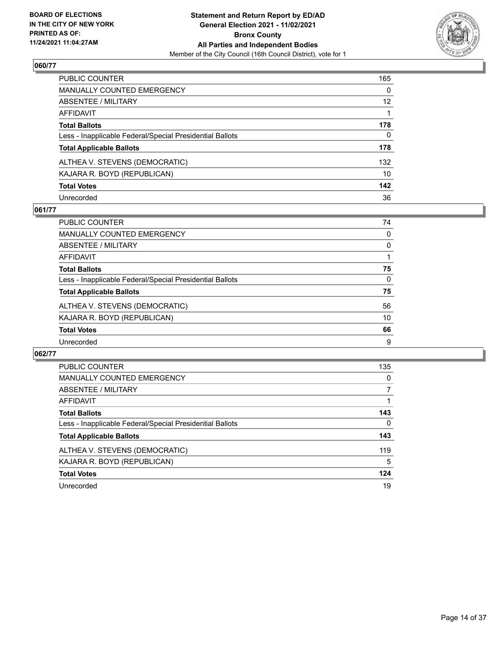

| PUBLIC COUNTER                                           | 165      |
|----------------------------------------------------------|----------|
| MANUALLY COUNTED EMERGENCY                               | 0        |
| ABSENTEE / MILITARY                                      | 12       |
| AFFIDAVIT                                                |          |
| Total Ballots                                            | 178      |
| Less - Inapplicable Federal/Special Presidential Ballots | $\Omega$ |
| <b>Total Applicable Ballots</b>                          | 178      |
| ALTHEA V. STEVENS (DEMOCRATIC)                           | 132      |
| KAJARA R. BOYD (REPUBLICAN)                              | 10       |
| <b>Total Votes</b>                                       | 142      |
| Unrecorded                                               | 36       |

## **061/77**

| <b>PUBLIC COUNTER</b>                                    | 74       |
|----------------------------------------------------------|----------|
| <b>MANUALLY COUNTED EMERGENCY</b>                        | $\Omega$ |
| ABSENTEE / MILITARY                                      | 0        |
| AFFIDAVIT                                                |          |
| <b>Total Ballots</b>                                     | 75       |
| Less - Inapplicable Federal/Special Presidential Ballots | $\Omega$ |
| <b>Total Applicable Ballots</b>                          | 75       |
| ALTHEA V. STEVENS (DEMOCRATIC)                           | 56       |
| KAJARA R. BOYD (REPUBLICAN)                              | 10       |
| <b>Total Votes</b>                                       | 66       |
| Unrecorded                                               | 9        |

| PUBLIC COUNTER                                           | 135 |
|----------------------------------------------------------|-----|
| <b>MANUALLY COUNTED EMERGENCY</b>                        | 0   |
| ABSENTEE / MILITARY                                      |     |
| <b>AFFIDAVIT</b>                                         |     |
| <b>Total Ballots</b>                                     | 143 |
| Less - Inapplicable Federal/Special Presidential Ballots | 0   |
| <b>Total Applicable Ballots</b>                          | 143 |
| ALTHEA V. STEVENS (DEMOCRATIC)                           | 119 |
| KAJARA R. BOYD (REPUBLICAN)                              | 5   |
| <b>Total Votes</b>                                       | 124 |
| Unrecorded                                               | 19  |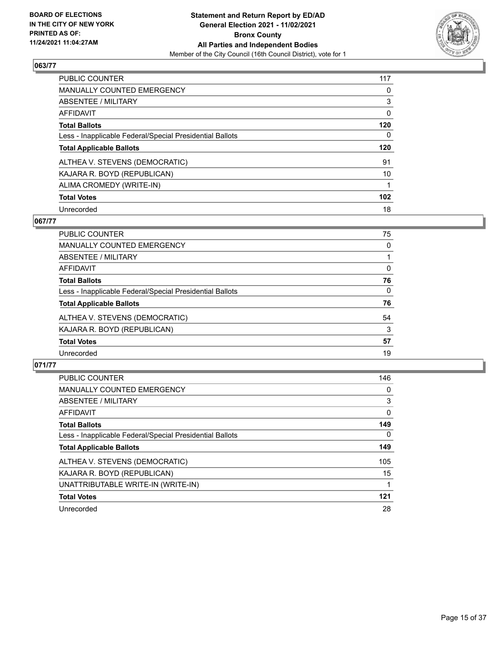

| PUBLIC COUNTER                                           | 117              |
|----------------------------------------------------------|------------------|
| <b>MANUALLY COUNTED EMERGENCY</b>                        | 0                |
| ABSENTEE / MILITARY                                      | 3                |
| AFFIDAVIT                                                | 0                |
| <b>Total Ballots</b>                                     | 120              |
| Less - Inapplicable Federal/Special Presidential Ballots | 0                |
| <b>Total Applicable Ballots</b>                          | 120              |
| ALTHEA V. STEVENS (DEMOCRATIC)                           | 91               |
| KAJARA R. BOYD (REPUBLICAN)                              | 10               |
| ALIMA CROMEDY (WRITE-IN)                                 |                  |
| <b>Total Votes</b>                                       | 102 <sub>2</sub> |
|                                                          |                  |

## **067/77**

| <b>PUBLIC COUNTER</b>                                    | 75       |
|----------------------------------------------------------|----------|
| MANUALLY COUNTED EMERGENCY                               | 0        |
| ABSENTEE / MILITARY                                      |          |
| <b>AFFIDAVIT</b>                                         | $\Omega$ |
| <b>Total Ballots</b>                                     | 76       |
| Less - Inapplicable Federal/Special Presidential Ballots | $\Omega$ |
| <b>Total Applicable Ballots</b>                          | 76       |
| ALTHEA V. STEVENS (DEMOCRATIC)                           | 54       |
| KAJARA R. BOYD (REPUBLICAN)                              | 3        |
| <b>Total Votes</b>                                       | 57       |
| Unrecorded                                               | 19       |

| <b>PUBLIC COUNTER</b>                                    | 146 |
|----------------------------------------------------------|-----|
| <b>MANUALLY COUNTED EMERGENCY</b>                        | 0   |
| ABSENTEE / MILITARY                                      | 3   |
| <b>AFFIDAVIT</b>                                         | 0   |
| <b>Total Ballots</b>                                     | 149 |
| Less - Inapplicable Federal/Special Presidential Ballots | 0   |
| <b>Total Applicable Ballots</b>                          | 149 |
| ALTHEA V. STEVENS (DEMOCRATIC)                           | 105 |
| KAJARA R. BOYD (REPUBLICAN)                              | 15  |
| UNATTRIBUTABLE WRITE-IN (WRITE-IN)                       |     |
| <b>Total Votes</b>                                       | 121 |
| Unrecorded                                               | 28  |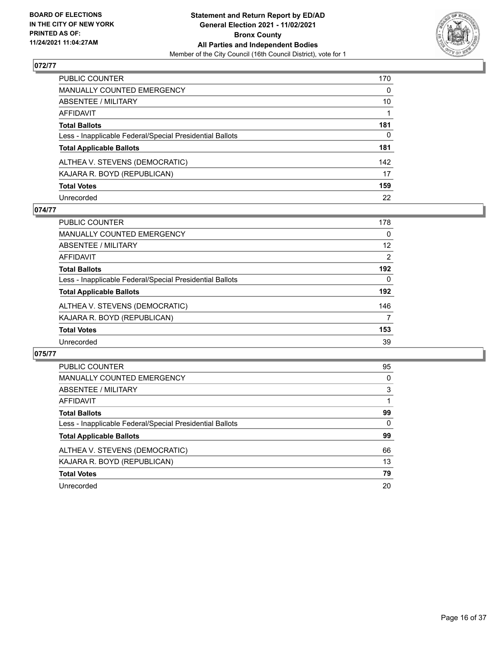

| PUBLIC COUNTER                                           | 170          |
|----------------------------------------------------------|--------------|
| MANUALLY COUNTED EMERGENCY                               | $\mathbf{0}$ |
| ABSENTEE / MILITARY                                      | 10           |
| AFFIDAVIT                                                |              |
| Total Ballots                                            | 181          |
| Less - Inapplicable Federal/Special Presidential Ballots | 0            |
| <b>Total Applicable Ballots</b>                          | 181          |
| ALTHEA V. STEVENS (DEMOCRATIC)                           | 142          |
| KAJARA R. BOYD (REPUBLICAN)                              | 17           |
| <b>Total Votes</b>                                       | 159          |
| Unrecorded                                               | 22           |

## **074/77**

| PUBLIC COUNTER                                           | 178 |
|----------------------------------------------------------|-----|
| <b>MANUALLY COUNTED EMERGENCY</b>                        | 0   |
| ABSENTEE / MILITARY                                      | 12  |
| AFFIDAVIT                                                | 2   |
| <b>Total Ballots</b>                                     | 192 |
| Less - Inapplicable Federal/Special Presidential Ballots | 0   |
| <b>Total Applicable Ballots</b>                          | 192 |
| ALTHEA V. STEVENS (DEMOCRATIC)                           | 146 |
| KAJARA R. BOYD (REPUBLICAN)                              | 7   |
| <b>Total Votes</b>                                       | 153 |
| Unrecorded                                               | 39  |

| <b>PUBLIC COUNTER</b>                                    | 95       |
|----------------------------------------------------------|----------|
| <b>MANUALLY COUNTED EMERGENCY</b>                        | 0        |
| <b>ABSENTEE / MILITARY</b>                               | 3        |
| AFFIDAVIT                                                |          |
| <b>Total Ballots</b>                                     | 99       |
| Less - Inapplicable Federal/Special Presidential Ballots | $\Omega$ |
| <b>Total Applicable Ballots</b>                          | 99       |
| ALTHEA V. STEVENS (DEMOCRATIC)                           | 66       |
| KAJARA R. BOYD (REPUBLICAN)                              | 13       |
| <b>Total Votes</b>                                       | 79       |
| Unrecorded                                               | 20       |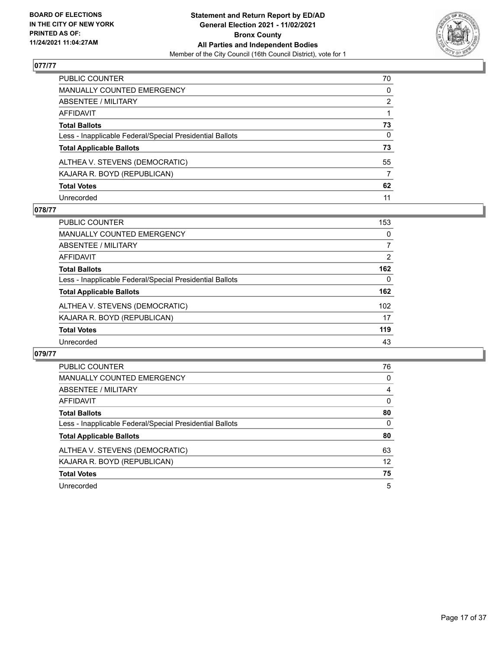

| PUBLIC COUNTER                                           | 70           |
|----------------------------------------------------------|--------------|
| MANUALLY COUNTED EMERGENCY                               | $\mathbf{0}$ |
| ABSENTEE / MILITARY                                      | 2            |
| AFFIDAVIT                                                |              |
| Total Ballots                                            | 73           |
| Less - Inapplicable Federal/Special Presidential Ballots | $\mathbf{0}$ |
| <b>Total Applicable Ballots</b>                          | 73           |
| ALTHEA V. STEVENS (DEMOCRATIC)                           | 55           |
| KAJARA R. BOYD (REPUBLICAN)                              | 7            |
| <b>Total Votes</b>                                       | 62           |
| Unrecorded                                               | 11           |

## **078/77**

| <b>PUBLIC COUNTER</b>                                    | 153 |
|----------------------------------------------------------|-----|
| <b>MANUALLY COUNTED EMERGENCY</b>                        | 0   |
| ABSENTEE / MILITARY                                      | 7   |
| AFFIDAVIT                                                | 2   |
| <b>Total Ballots</b>                                     | 162 |
| Less - Inapplicable Federal/Special Presidential Ballots | 0   |
| <b>Total Applicable Ballots</b>                          | 162 |
| ALTHEA V. STEVENS (DEMOCRATIC)                           | 102 |
| KAJARA R. BOYD (REPUBLICAN)                              | 17  |
| <b>Total Votes</b>                                       | 119 |
| Unrecorded                                               | 43  |

| PUBLIC COUNTER                                           | 76       |
|----------------------------------------------------------|----------|
| <b>MANUALLY COUNTED EMERGENCY</b>                        | 0        |
| ABSENTEE / MILITARY                                      | 4        |
| <b>AFFIDAVIT</b>                                         | $\Omega$ |
| <b>Total Ballots</b>                                     | 80       |
| Less - Inapplicable Federal/Special Presidential Ballots | $\Omega$ |
| <b>Total Applicable Ballots</b>                          | 80       |
| ALTHEA V. STEVENS (DEMOCRATIC)                           | 63       |
| KAJARA R. BOYD (REPUBLICAN)                              | 12       |
| <b>Total Votes</b>                                       | 75       |
| Unrecorded                                               | 5        |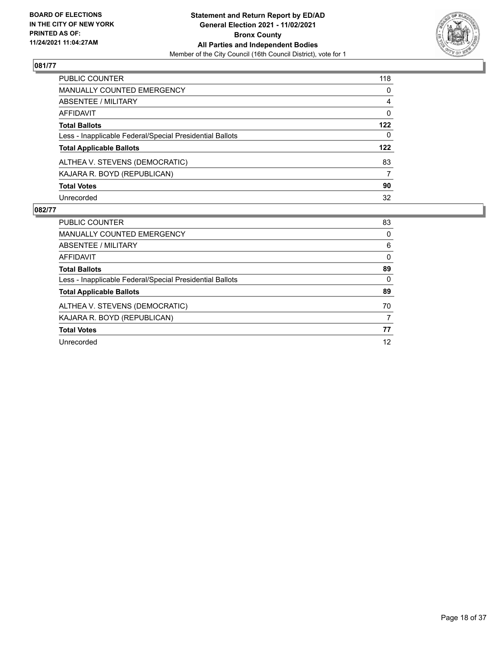

| PUBLIC COUNTER                                           | 118            |
|----------------------------------------------------------|----------------|
| MANUALLY COUNTED EMERGENCY                               | $\mathbf{0}$   |
| ABSENTEE / MILITARY                                      | $\overline{4}$ |
| <b>AFFIDAVIT</b>                                         | $\mathbf{0}$   |
| <b>Total Ballots</b>                                     | 122            |
| Less - Inapplicable Federal/Special Presidential Ballots | $\mathbf{0}$   |
| <b>Total Applicable Ballots</b>                          | 122            |
| ALTHEA V. STEVENS (DEMOCRATIC)                           | 83             |
| KAJARA R. BOYD (REPUBLICAN)                              | 7              |
| <b>Total Votes</b>                                       | 90             |
| Unrecorded                                               | 32             |

| PUBLIC COUNTER                                           | 83       |
|----------------------------------------------------------|----------|
| <b>MANUALLY COUNTED EMERGENCY</b>                        | $\Omega$ |
| ABSENTEE / MILITARY                                      | 6        |
| AFFIDAVIT                                                | 0        |
| <b>Total Ballots</b>                                     | 89       |
| Less - Inapplicable Federal/Special Presidential Ballots | $\Omega$ |
| <b>Total Applicable Ballots</b>                          | 89       |
| ALTHEA V. STEVENS (DEMOCRATIC)                           | 70       |
| KAJARA R. BOYD (REPUBLICAN)                              | 7        |
| <b>Total Votes</b>                                       | 77       |
| Unrecorded                                               | 12       |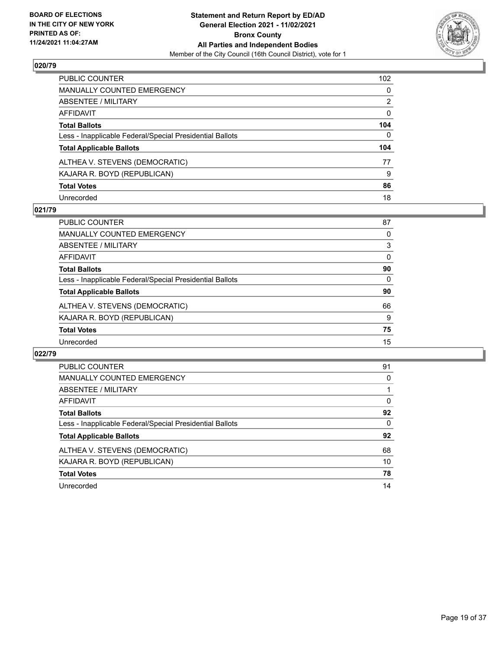

| PUBLIC COUNTER                                           | 102      |
|----------------------------------------------------------|----------|
| MANUALLY COUNTED EMERGENCY                               | 0        |
| ABSENTEE / MILITARY                                      | 2        |
| AFFIDAVIT                                                | 0        |
| Total Ballots                                            | 104      |
| Less - Inapplicable Federal/Special Presidential Ballots | $\Omega$ |
| <b>Total Applicable Ballots</b>                          | 104      |
| ALTHEA V. STEVENS (DEMOCRATIC)                           | 77       |
| KAJARA R. BOYD (REPUBLICAN)                              | 9        |
| <b>Total Votes</b>                                       | 86       |
| Unrecorded                                               | 18       |

## **021/79**

| <b>PUBLIC COUNTER</b>                                    | 87       |
|----------------------------------------------------------|----------|
| <b>MANUALLY COUNTED EMERGENCY</b>                        | 0        |
| ABSENTEE / MILITARY                                      | 3        |
| AFFIDAVIT                                                | $\Omega$ |
| <b>Total Ballots</b>                                     | 90       |
| Less - Inapplicable Federal/Special Presidential Ballots | $\Omega$ |
| <b>Total Applicable Ballots</b>                          | 90       |
| ALTHEA V. STEVENS (DEMOCRATIC)                           | 66       |
| KAJARA R. BOYD (REPUBLICAN)                              | 9        |
| <b>Total Votes</b>                                       | 75       |
| Unrecorded                                               | 15       |

| <b>PUBLIC COUNTER</b>                                    | 91       |
|----------------------------------------------------------|----------|
| <b>MANUALLY COUNTED EMERGENCY</b>                        | 0        |
| ABSENTEE / MILITARY                                      |          |
| AFFIDAVIT                                                | $\Omega$ |
| <b>Total Ballots</b>                                     | 92       |
| Less - Inapplicable Federal/Special Presidential Ballots | $\Omega$ |
| <b>Total Applicable Ballots</b>                          | 92       |
| ALTHEA V. STEVENS (DEMOCRATIC)                           | 68       |
| KAJARA R. BOYD (REPUBLICAN)                              | 10       |
| <b>Total Votes</b>                                       | 78       |
| Unrecorded                                               | 14       |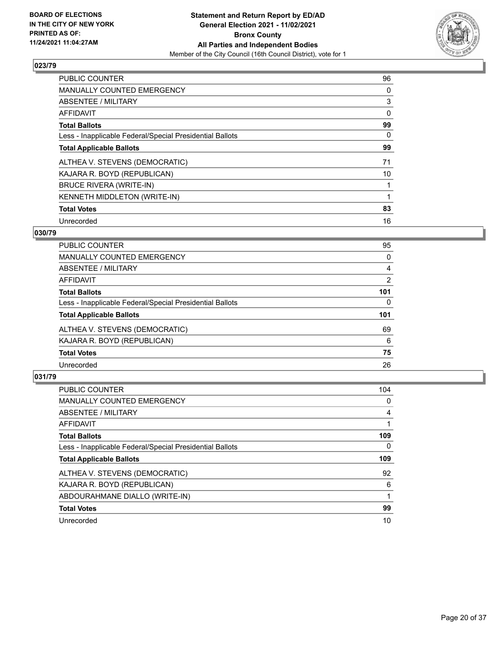

| <b>PUBLIC COUNTER</b>                                    | 96 |
|----------------------------------------------------------|----|
| <b>MANUALLY COUNTED EMERGENCY</b>                        | 0  |
| ABSENTEE / MILITARY                                      | 3  |
| <b>AFFIDAVIT</b>                                         | 0  |
| <b>Total Ballots</b>                                     | 99 |
| Less - Inapplicable Federal/Special Presidential Ballots | 0  |
| <b>Total Applicable Ballots</b>                          | 99 |
| ALTHEA V. STEVENS (DEMOCRATIC)                           | 71 |
| KAJARA R. BOYD (REPUBLICAN)                              | 10 |
| <b>BRUCE RIVERA (WRITE-IN)</b>                           |    |
| <b>KENNETH MIDDLETON (WRITE-IN)</b>                      |    |
| <b>Total Votes</b>                                       | 83 |
| Unrecorded                                               | 16 |

## **030/79**

| 95  |
|-----|
| 0   |
| 4   |
| 2   |
| 101 |
| 0   |
| 101 |
| 69  |
| 6   |
| 75  |
| 26  |
|     |

| <b>PUBLIC COUNTER</b>                                    | 104      |
|----------------------------------------------------------|----------|
| <b>MANUALLY COUNTED EMERGENCY</b>                        | $\Omega$ |
| <b>ABSENTEE / MILITARY</b>                               | 4        |
| AFFIDAVIT                                                |          |
| <b>Total Ballots</b>                                     | 109      |
| Less - Inapplicable Federal/Special Presidential Ballots | 0        |
| <b>Total Applicable Ballots</b>                          | 109      |
| ALTHEA V. STEVENS (DEMOCRATIC)                           | 92       |
| KAJARA R. BOYD (REPUBLICAN)                              | 6        |
| ABDOURAHMANE DIALLO (WRITE-IN)                           |          |
| <b>Total Votes</b>                                       | 99       |
| Unrecorded                                               | 10       |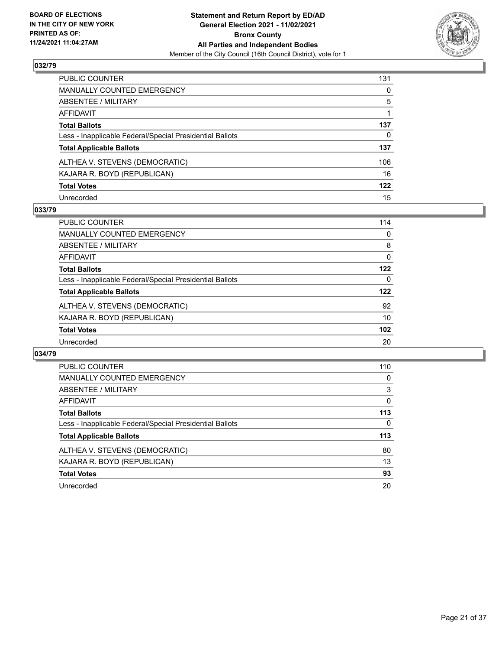

| PUBLIC COUNTER                                           | 131          |
|----------------------------------------------------------|--------------|
| MANUALLY COUNTED EMERGENCY                               | $\mathbf{0}$ |
| ABSENTEE / MILITARY                                      | 5            |
| AFFIDAVIT                                                |              |
| Total Ballots                                            | 137          |
| Less - Inapplicable Federal/Special Presidential Ballots | 0            |
| <b>Total Applicable Ballots</b>                          | 137          |
| ALTHEA V. STEVENS (DEMOCRATIC)                           | 106          |
| KAJARA R. BOYD (REPUBLICAN)                              | 16           |
| <b>Total Votes</b>                                       | 122          |
| Unrecorded                                               | 15           |

## **033/79**

| PUBLIC COUNTER                                           | 114      |
|----------------------------------------------------------|----------|
| MANUALLY COUNTED EMERGENCY                               | 0        |
| ABSENTEE / MILITARY                                      | 8        |
| AFFIDAVIT                                                | $\Omega$ |
| <b>Total Ballots</b>                                     | 122      |
| Less - Inapplicable Federal/Special Presidential Ballots | 0        |
| <b>Total Applicable Ballots</b>                          | 122      |
| ALTHEA V. STEVENS (DEMOCRATIC)                           | 92       |
| KAJARA R. BOYD (REPUBLICAN)                              | 10       |
| <b>Total Votes</b>                                       | 102      |
| Unrecorded                                               | 20       |

| <b>PUBLIC COUNTER</b>                                    | 110      |
|----------------------------------------------------------|----------|
| <b>MANUALLY COUNTED EMERGENCY</b>                        | 0        |
| ABSENTEE / MILITARY                                      | 3        |
| <b>AFFIDAVIT</b>                                         | $\Omega$ |
| <b>Total Ballots</b>                                     | 113      |
| Less - Inapplicable Federal/Special Presidential Ballots | 0        |
| <b>Total Applicable Ballots</b>                          | 113      |
| ALTHEA V. STEVENS (DEMOCRATIC)                           | 80       |
| KAJARA R. BOYD (REPUBLICAN)                              | 13       |
| <b>Total Votes</b>                                       | 93       |
| Unrecorded                                               | 20       |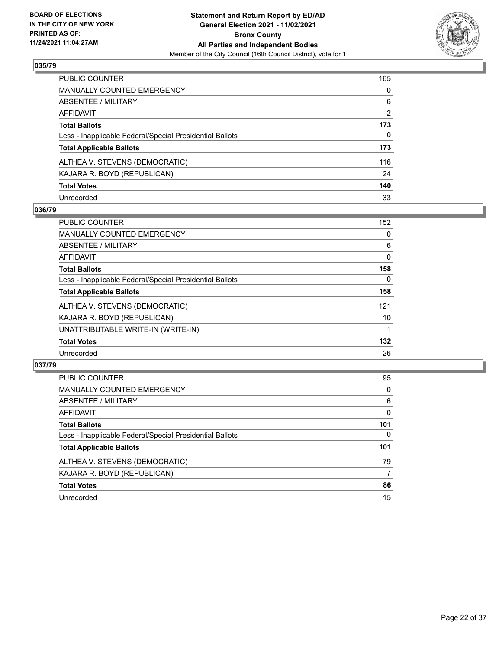

| PUBLIC COUNTER                                           | 165            |
|----------------------------------------------------------|----------------|
| MANUALLY COUNTED EMERGENCY                               | $\mathbf{0}$   |
| ABSENTEE / MILITARY                                      | 6              |
| AFFIDAVIT                                                | $\overline{2}$ |
| Total Ballots                                            | 173            |
| Less - Inapplicable Federal/Special Presidential Ballots | $\Omega$       |
| <b>Total Applicable Ballots</b>                          | 173            |
| ALTHEA V. STEVENS (DEMOCRATIC)                           | 116            |
| KAJARA R. BOYD (REPUBLICAN)                              | 24             |
| <b>Total Votes</b>                                       | 140            |
| Unrecorded                                               | 33             |

## **036/79**

| <b>PUBLIC COUNTER</b>                                    | 152 |
|----------------------------------------------------------|-----|
| <b>MANUALLY COUNTED EMERGENCY</b>                        | 0   |
| ABSENTEE / MILITARY                                      | 6   |
| <b>AFFIDAVIT</b>                                         | 0   |
| <b>Total Ballots</b>                                     | 158 |
| Less - Inapplicable Federal/Special Presidential Ballots | 0   |
| <b>Total Applicable Ballots</b>                          | 158 |
| ALTHEA V. STEVENS (DEMOCRATIC)                           | 121 |
| KAJARA R. BOYD (REPUBLICAN)                              | 10  |
| UNATTRIBUTABLE WRITE-IN (WRITE-IN)                       |     |
| <b>Total Votes</b>                                       | 132 |
| Unrecorded                                               | 26  |

| <b>PUBLIC COUNTER</b>                                    | 95       |
|----------------------------------------------------------|----------|
| <b>MANUALLY COUNTED EMERGENCY</b>                        | 0        |
| ABSENTEE / MILITARY                                      | 6        |
| AFFIDAVIT                                                | $\Omega$ |
| <b>Total Ballots</b>                                     | 101      |
| Less - Inapplicable Federal/Special Presidential Ballots | $\Omega$ |
| <b>Total Applicable Ballots</b>                          | 101      |
| ALTHEA V. STEVENS (DEMOCRATIC)                           | 79       |
| KAJARA R. BOYD (REPUBLICAN)                              | 7        |
| <b>Total Votes</b>                                       | 86       |
| Unrecorded                                               | 15       |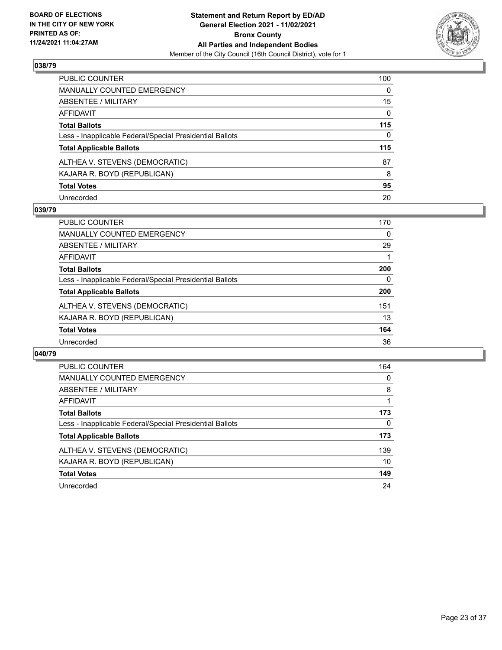

| PUBLIC COUNTER                                           | 100 |
|----------------------------------------------------------|-----|
| MANUALLY COUNTED EMERGENCY                               | 0   |
| ABSENTEE / MILITARY                                      | 15  |
| AFFIDAVIT                                                | 0   |
| Total Ballots                                            | 115 |
| Less - Inapplicable Federal/Special Presidential Ballots | 0   |
| <b>Total Applicable Ballots</b>                          | 115 |
| ALTHEA V. STEVENS (DEMOCRATIC)                           | 87  |
| KAJARA R. BOYD (REPUBLICAN)                              | 8   |
| <b>Total Votes</b>                                       | 95  |
| Unrecorded                                               | 20  |

## **039/79**

| <b>PUBLIC COUNTER</b>                                    | 170 |
|----------------------------------------------------------|-----|
| <b>MANUALLY COUNTED EMERGENCY</b>                        | 0   |
| ABSENTEE / MILITARY                                      | 29  |
| AFFIDAVIT                                                |     |
| <b>Total Ballots</b>                                     | 200 |
| Less - Inapplicable Federal/Special Presidential Ballots | 0   |
| <b>Total Applicable Ballots</b>                          | 200 |
| ALTHEA V. STEVENS (DEMOCRATIC)                           | 151 |
| KAJARA R. BOYD (REPUBLICAN)                              | 13  |
| <b>Total Votes</b>                                       | 164 |
| Unrecorded                                               | 36  |

| <b>PUBLIC COUNTER</b>                                    | 164      |
|----------------------------------------------------------|----------|
| <b>MANUALLY COUNTED EMERGENCY</b>                        | $\Omega$ |
| ABSENTEE / MILITARY                                      | 8        |
| <b>AFFIDAVIT</b>                                         |          |
| <b>Total Ballots</b>                                     | 173      |
| Less - Inapplicable Federal/Special Presidential Ballots | 0        |
| <b>Total Applicable Ballots</b>                          | 173      |
| ALTHEA V. STEVENS (DEMOCRATIC)                           | 139      |
| KAJARA R. BOYD (REPUBLICAN)                              | 10       |
| <b>Total Votes</b>                                       | 149      |
| Unrecorded                                               | 24       |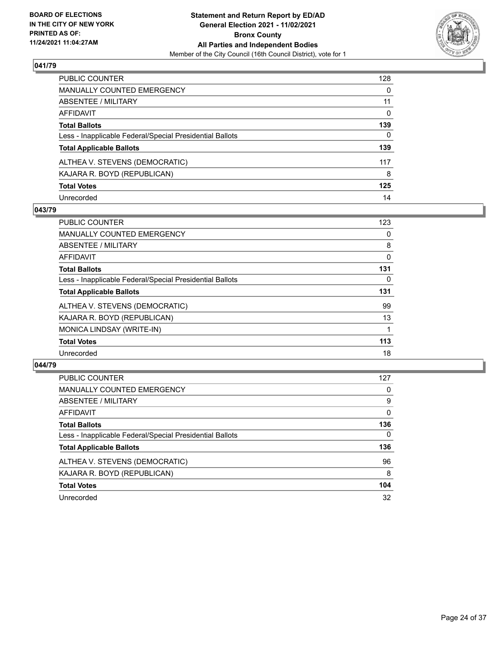

| PUBLIC COUNTER                                           | 128 |
|----------------------------------------------------------|-----|
| MANUALLY COUNTED EMERGENCY                               | 0   |
| ABSENTEE / MILITARY                                      | 11  |
| AFFIDAVIT                                                | 0   |
| Total Ballots                                            | 139 |
| Less - Inapplicable Federal/Special Presidential Ballots | 0   |
| <b>Total Applicable Ballots</b>                          | 139 |
| ALTHEA V. STEVENS (DEMOCRATIC)                           | 117 |
| KAJARA R. BOYD (REPUBLICAN)                              | 8   |
| <b>Total Votes</b>                                       | 125 |
| Unrecorded                                               | 14  |

## **043/79**

| <b>PUBLIC COUNTER</b>                                    | 123 |
|----------------------------------------------------------|-----|
| MANUALLY COUNTED EMERGENCY                               | 0   |
| ABSENTEE / MILITARY                                      | 8   |
| <b>AFFIDAVIT</b>                                         | 0   |
| <b>Total Ballots</b>                                     | 131 |
| Less - Inapplicable Federal/Special Presidential Ballots | 0   |
| <b>Total Applicable Ballots</b>                          | 131 |
| ALTHEA V. STEVENS (DEMOCRATIC)                           | 99  |
| KAJARA R. BOYD (REPUBLICAN)                              | 13  |
| MONICA LINDSAY (WRITE-IN)                                |     |
| <b>Total Votes</b>                                       | 113 |
| Unrecorded                                               | 18  |

| <b>PUBLIC COUNTER</b>                                    | 127      |
|----------------------------------------------------------|----------|
| <b>MANUALLY COUNTED EMERGENCY</b>                        | 0        |
| ABSENTEE / MILITARY                                      | 9        |
| AFFIDAVIT                                                | $\Omega$ |
| <b>Total Ballots</b>                                     | 136      |
| Less - Inapplicable Federal/Special Presidential Ballots | $\Omega$ |
| <b>Total Applicable Ballots</b>                          | 136      |
| ALTHEA V. STEVENS (DEMOCRATIC)                           | 96       |
| KAJARA R. BOYD (REPUBLICAN)                              | 8        |
| <b>Total Votes</b>                                       | 104      |
| Unrecorded                                               | 32       |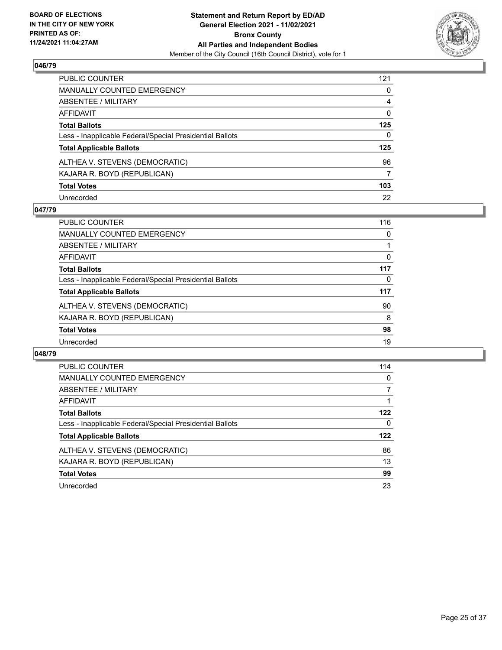

| PUBLIC COUNTER                                           | 121 |
|----------------------------------------------------------|-----|
| MANUALLY COUNTED EMERGENCY                               | 0   |
| ABSENTEE / MILITARY                                      | 4   |
| AFFIDAVIT                                                | 0   |
| Total Ballots                                            | 125 |
| Less - Inapplicable Federal/Special Presidential Ballots | 0   |
| <b>Total Applicable Ballots</b>                          | 125 |
| ALTHEA V. STEVENS (DEMOCRATIC)                           | 96  |
| KAJARA R. BOYD (REPUBLICAN)                              | 7   |
| <b>Total Votes</b>                                       | 103 |
| Unrecorded                                               | 22  |

## **047/79**

| <b>PUBLIC COUNTER</b>                                    | 116      |
|----------------------------------------------------------|----------|
| MANUALLY COUNTED EMERGENCY                               | 0        |
| ABSENTEE / MILITARY                                      |          |
| AFFIDAVIT                                                | $\Omega$ |
| <b>Total Ballots</b>                                     | 117      |
| Less - Inapplicable Federal/Special Presidential Ballots | $\Omega$ |
| <b>Total Applicable Ballots</b>                          | 117      |
| ALTHEA V. STEVENS (DEMOCRATIC)                           | 90       |
| KAJARA R. BOYD (REPUBLICAN)                              | 8        |
| <b>Total Votes</b>                                       | 98       |
| Unrecorded                                               | 19       |

| <b>PUBLIC COUNTER</b>                                    | 114 |
|----------------------------------------------------------|-----|
| <b>MANUALLY COUNTED EMERGENCY</b>                        | 0   |
| ABSENTEE / MILITARY                                      | 7   |
| <b>AFFIDAVIT</b>                                         |     |
| <b>Total Ballots</b>                                     | 122 |
| Less - Inapplicable Federal/Special Presidential Ballots | 0   |
| <b>Total Applicable Ballots</b>                          | 122 |
| ALTHEA V. STEVENS (DEMOCRATIC)                           | 86  |
| KAJARA R. BOYD (REPUBLICAN)                              | 13  |
| <b>Total Votes</b>                                       | 99  |
| Unrecorded                                               | 23  |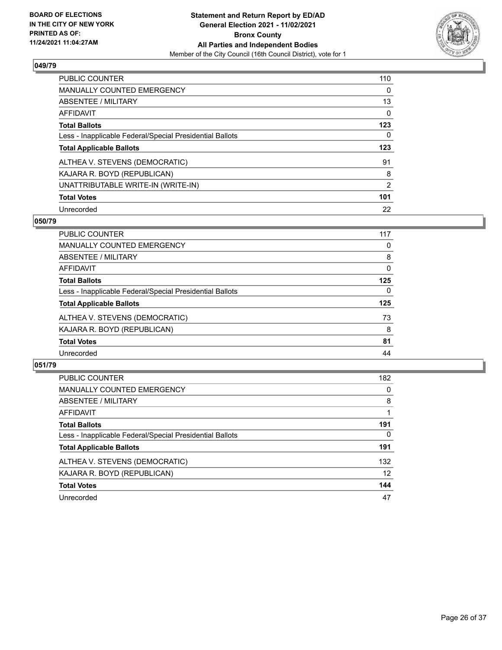

| <b>PUBLIC COUNTER</b>                                    | 110      |
|----------------------------------------------------------|----------|
| <b>MANUALLY COUNTED EMERGENCY</b>                        | $\Omega$ |
| ABSENTEE / MILITARY                                      | 13       |
| AFFIDAVIT                                                | $\Omega$ |
| <b>Total Ballots</b>                                     | 123      |
| Less - Inapplicable Federal/Special Presidential Ballots | 0        |
| <b>Total Applicable Ballots</b>                          | 123      |
| ALTHEA V. STEVENS (DEMOCRATIC)                           | 91       |
| KAJARA R. BOYD (REPUBLICAN)                              | 8        |
| UNATTRIBUTABLE WRITE-IN (WRITE-IN)                       | 2        |
| <b>Total Votes</b>                                       | 101      |
| Unrecorded                                               | 22       |

## **050/79**

| <b>PUBLIC COUNTER</b>                                    | 117      |
|----------------------------------------------------------|----------|
| <b>MANUALLY COUNTED EMERGENCY</b>                        | 0        |
| ABSENTEE / MILITARY                                      | 8        |
| <b>AFFIDAVIT</b>                                         | 0        |
| <b>Total Ballots</b>                                     | 125      |
| Less - Inapplicable Federal/Special Presidential Ballots | $\Omega$ |
| <b>Total Applicable Ballots</b>                          | 125      |
| ALTHEA V. STEVENS (DEMOCRATIC)                           | 73       |
| KAJARA R. BOYD (REPUBLICAN)                              | 8        |
| <b>Total Votes</b>                                       | 81       |
| Unrecorded                                               | 44       |

| <b>PUBLIC COUNTER</b>                                    | 182 |
|----------------------------------------------------------|-----|
| <b>MANUALLY COUNTED EMERGENCY</b>                        | 0   |
| ABSENTEE / MILITARY                                      | 8   |
| AFFIDAVIT                                                |     |
| <b>Total Ballots</b>                                     | 191 |
| Less - Inapplicable Federal/Special Presidential Ballots | 0   |
| <b>Total Applicable Ballots</b>                          | 191 |
| ALTHEA V. STEVENS (DEMOCRATIC)                           | 132 |
| KAJARA R. BOYD (REPUBLICAN)                              | 12  |
| <b>Total Votes</b>                                       | 144 |
| Unrecorded                                               | 47  |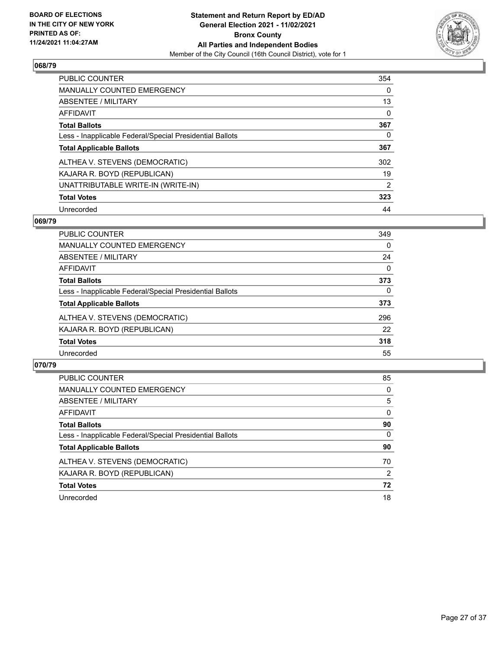

| <b>PUBLIC COUNTER</b>                                    | 354            |
|----------------------------------------------------------|----------------|
| <b>MANUALLY COUNTED EMERGENCY</b>                        | $\Omega$       |
| ABSENTEE / MILITARY                                      | 13             |
| AFFIDAVIT                                                | $\Omega$       |
| <b>Total Ballots</b>                                     | 367            |
| Less - Inapplicable Federal/Special Presidential Ballots | 0              |
| <b>Total Applicable Ballots</b>                          | 367            |
| ALTHEA V. STEVENS (DEMOCRATIC)                           | 302            |
| KAJARA R. BOYD (REPUBLICAN)                              | 19             |
| UNATTRIBUTABLE WRITE-IN (WRITE-IN)                       | $\overline{2}$ |
| <b>Total Votes</b>                                       | 323            |
| Unrecorded                                               | 44             |

#### **069/79**

| <b>PUBLIC COUNTER</b>                                    | 349      |
|----------------------------------------------------------|----------|
| <b>MANUALLY COUNTED EMERGENCY</b>                        | 0        |
| ABSENTEE / MILITARY                                      | 24       |
| AFFIDAVIT                                                | $\Omega$ |
| <b>Total Ballots</b>                                     | 373      |
| Less - Inapplicable Federal/Special Presidential Ballots | 0        |
| <b>Total Applicable Ballots</b>                          | 373      |
| ALTHEA V. STEVENS (DEMOCRATIC)                           | 296      |
| KAJARA R. BOYD (REPUBLICAN)                              | 22       |
| <b>Total Votes</b>                                       | 318      |
| Unrecorded                                               | 55       |

| <b>PUBLIC COUNTER</b>                                    | 85       |
|----------------------------------------------------------|----------|
| <b>MANUALLY COUNTED EMERGENCY</b>                        | 0        |
| <b>ABSENTEE / MILITARY</b>                               | 5        |
| AFFIDAVIT                                                | $\Omega$ |
| <b>Total Ballots</b>                                     | 90       |
| Less - Inapplicable Federal/Special Presidential Ballots | $\Omega$ |
| <b>Total Applicable Ballots</b>                          | 90       |
| ALTHEA V. STEVENS (DEMOCRATIC)                           | 70       |
| KAJARA R. BOYD (REPUBLICAN)                              | 2        |
| <b>Total Votes</b>                                       | 72       |
| Unrecorded                                               | 18       |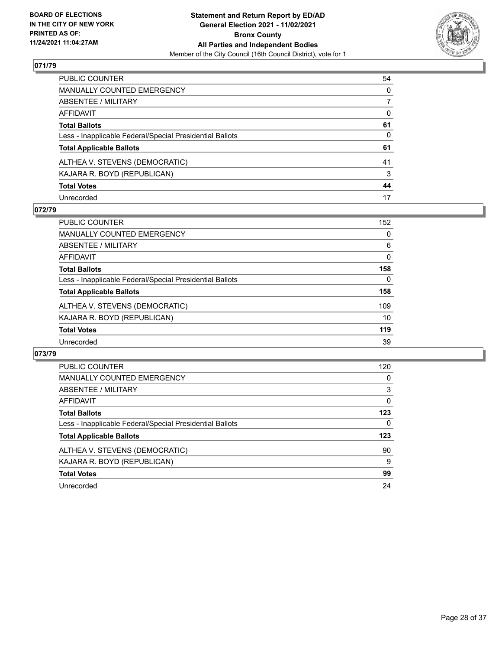

| PUBLIC COUNTER                                           | 54 |
|----------------------------------------------------------|----|
| MANUALLY COUNTED EMERGENCY                               | 0  |
| ABSENTEE / MILITARY                                      | 7  |
| AFFIDAVIT                                                | 0  |
| Total Ballots                                            | 61 |
| Less - Inapplicable Federal/Special Presidential Ballots | 0  |
| <b>Total Applicable Ballots</b>                          | 61 |
| ALTHEA V. STEVENS (DEMOCRATIC)                           | 41 |
| KAJARA R. BOYD (REPUBLICAN)                              | 3  |
| <b>Total Votes</b>                                       | 44 |
| Unrecorded                                               | 17 |

## **072/79**

| PUBLIC COUNTER                                           | 152      |
|----------------------------------------------------------|----------|
| MANUALLY COUNTED EMERGENCY                               | 0        |
| ABSENTEE / MILITARY                                      | 6        |
| AFFIDAVIT                                                | $\Omega$ |
| <b>Total Ballots</b>                                     | 158      |
| Less - Inapplicable Federal/Special Presidential Ballots | $\Omega$ |
| <b>Total Applicable Ballots</b>                          | 158      |
| ALTHEA V. STEVENS (DEMOCRATIC)                           | 109      |
| KAJARA R. BOYD (REPUBLICAN)                              | 10       |
| <b>Total Votes</b>                                       | 119      |
| Unrecorded                                               | 39       |

| <b>PUBLIC COUNTER</b>                                    | 120      |
|----------------------------------------------------------|----------|
| <b>MANUALLY COUNTED EMERGENCY</b>                        | 0        |
| ABSENTEE / MILITARY                                      | 3        |
| <b>AFFIDAVIT</b>                                         | $\Omega$ |
| <b>Total Ballots</b>                                     | 123      |
| Less - Inapplicable Federal/Special Presidential Ballots | 0        |
| <b>Total Applicable Ballots</b>                          | 123      |
| ALTHEA V. STEVENS (DEMOCRATIC)                           | 90       |
| KAJARA R. BOYD (REPUBLICAN)                              | 9        |
| <b>Total Votes</b>                                       | 99       |
| Unrecorded                                               | 24       |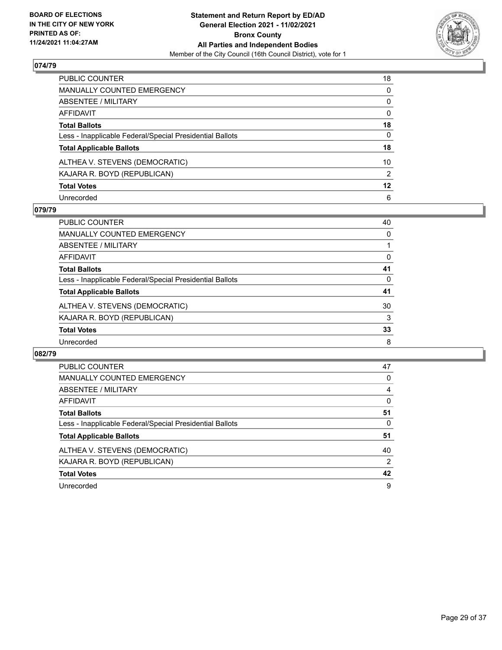

| PUBLIC COUNTER                                           | 18              |
|----------------------------------------------------------|-----------------|
| MANUALLY COUNTED EMERGENCY                               | $\mathbf{0}$    |
| ABSENTEE / MILITARY                                      | 0               |
| AFFIDAVIT                                                | $\mathbf{0}$    |
| <b>Total Ballots</b>                                     | 18              |
| Less - Inapplicable Federal/Special Presidential Ballots | $\Omega$        |
| <b>Total Applicable Ballots</b>                          | 18              |
| ALTHEA V. STEVENS (DEMOCRATIC)                           | 10 <sup>°</sup> |
| KAJARA R. BOYD (REPUBLICAN)                              | 2               |
| <b>Total Votes</b>                                       | $12 \,$         |
| Unrecorded                                               | 6               |

## **079/79**

| <b>PUBLIC COUNTER</b>                                    | 40       |
|----------------------------------------------------------|----------|
| <b>MANUALLY COUNTED EMERGENCY</b>                        | 0        |
| ABSENTEE / MILITARY                                      |          |
| AFFIDAVIT                                                | $\Omega$ |
| <b>Total Ballots</b>                                     | 41       |
| Less - Inapplicable Federal/Special Presidential Ballots | 0        |
| <b>Total Applicable Ballots</b>                          | 41       |
| ALTHEA V. STEVENS (DEMOCRATIC)                           | 30       |
| KAJARA R. BOYD (REPUBLICAN)                              | 3        |
| <b>Total Votes</b>                                       | 33       |
| Unrecorded                                               | 8        |

| <b>PUBLIC COUNTER</b>                                    | 47             |
|----------------------------------------------------------|----------------|
| <b>MANUALLY COUNTED EMERGENCY</b>                        | 0              |
| <b>ABSENTEE / MILITARY</b>                               | 4              |
| AFFIDAVIT                                                | 0              |
| <b>Total Ballots</b>                                     | 51             |
| Less - Inapplicable Federal/Special Presidential Ballots | 0              |
| <b>Total Applicable Ballots</b>                          | 51             |
| ALTHEA V. STEVENS (DEMOCRATIC)                           | 40             |
| KAJARA R. BOYD (REPUBLICAN)                              | $\overline{2}$ |
| <b>Total Votes</b>                                       | 42             |
|                                                          |                |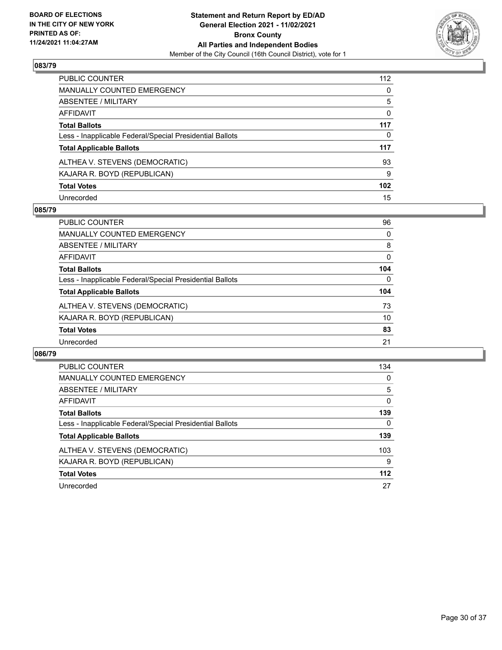

| PUBLIC COUNTER                                           | 112              |
|----------------------------------------------------------|------------------|
| MANUALLY COUNTED EMERGENCY                               | $\mathbf{0}$     |
| ABSENTEE / MILITARY                                      | 5                |
| <b>AFFIDAVIT</b>                                         | $\mathbf{0}$     |
| <b>Total Ballots</b>                                     | 117              |
| Less - Inapplicable Federal/Special Presidential Ballots | 0                |
| <b>Total Applicable Ballots</b>                          | 117              |
| ALTHEA V. STEVENS (DEMOCRATIC)                           | 93               |
| KAJARA R. BOYD (REPUBLICAN)                              | 9                |
| <b>Total Votes</b>                                       | 102 <sub>2</sub> |
| Unrecorded                                               | 15               |

## **085/79**

| PUBLIC COUNTER                                           | 96       |
|----------------------------------------------------------|----------|
| <b>MANUALLY COUNTED EMERGENCY</b>                        | $\Omega$ |
| ABSENTEE / MILITARY                                      | 8        |
| AFFIDAVIT                                                | $\Omega$ |
| <b>Total Ballots</b>                                     | 104      |
| Less - Inapplicable Federal/Special Presidential Ballots | $\Omega$ |
| <b>Total Applicable Ballots</b>                          | 104      |
| ALTHEA V. STEVENS (DEMOCRATIC)                           | 73       |
| KAJARA R. BOYD (REPUBLICAN)                              | 10       |
| <b>Total Votes</b>                                       | 83       |
| Unrecorded                                               | 21       |

| PUBLIC COUNTER                                           | 134      |
|----------------------------------------------------------|----------|
| <b>MANUALLY COUNTED EMERGENCY</b>                        | $\Omega$ |
| ABSENTEE / MILITARY                                      | 5        |
| <b>AFFIDAVIT</b>                                         | $\Omega$ |
| <b>Total Ballots</b>                                     | 139      |
| Less - Inapplicable Federal/Special Presidential Ballots | 0        |
| <b>Total Applicable Ballots</b>                          | 139      |
| ALTHEA V. STEVENS (DEMOCRATIC)                           | 103      |
| KAJARA R. BOYD (REPUBLICAN)                              | 9        |
| <b>Total Votes</b>                                       | $112$    |
| Unrecorded                                               | 27       |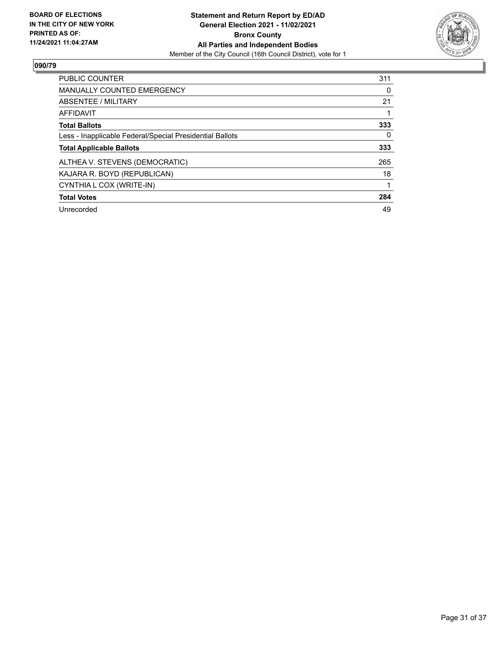

| <b>PUBLIC COUNTER</b>                                    | 311 |
|----------------------------------------------------------|-----|
| <b>MANUALLY COUNTED EMERGENCY</b>                        | 0   |
| ABSENTEE / MILITARY                                      | 21  |
| AFFIDAVIT                                                |     |
| <b>Total Ballots</b>                                     | 333 |
| Less - Inapplicable Federal/Special Presidential Ballots | 0   |
| <b>Total Applicable Ballots</b>                          | 333 |
| ALTHEA V. STEVENS (DEMOCRATIC)                           | 265 |
| KAJARA R. BOYD (REPUBLICAN)                              | 18  |
| CYNTHIA L COX (WRITE-IN)                                 |     |
| <b>Total Votes</b>                                       | 284 |
| Unrecorded                                               | 49  |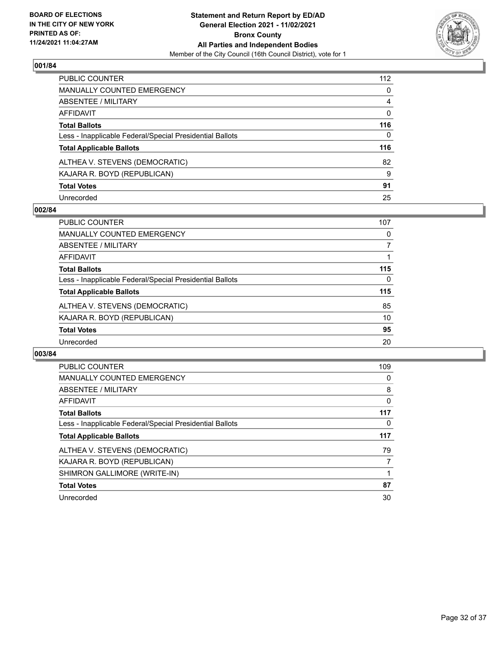

| PUBLIC COUNTER                                           | 112          |
|----------------------------------------------------------|--------------|
| MANUALLY COUNTED EMERGENCY                               | $\mathbf{0}$ |
| ABSENTEE / MILITARY                                      | 4            |
| AFFIDAVIT                                                | 0            |
| Total Ballots                                            | 116          |
| Less - Inapplicable Federal/Special Presidential Ballots | $\Omega$     |
| <b>Total Applicable Ballots</b>                          | 116          |
| ALTHEA V. STEVENS (DEMOCRATIC)                           | 82           |
| KAJARA R. BOYD (REPUBLICAN)                              | 9            |
| <b>Total Votes</b>                                       | 91           |
| Unrecorded                                               | 25           |

## **002/84**

| <b>PUBLIC COUNTER</b>                                    | 107 |
|----------------------------------------------------------|-----|
| <b>MANUALLY COUNTED EMERGENCY</b>                        | 0   |
| ABSENTEE / MILITARY                                      |     |
| AFFIDAVIT                                                |     |
| <b>Total Ballots</b>                                     | 115 |
| Less - Inapplicable Federal/Special Presidential Ballots | 0   |
| <b>Total Applicable Ballots</b>                          | 115 |
| ALTHEA V. STEVENS (DEMOCRATIC)                           | 85  |
| KAJARA R. BOYD (REPUBLICAN)                              | 10  |
| <b>Total Votes</b>                                       | 95  |
| Unrecorded                                               | 20  |

| <b>PUBLIC COUNTER</b>                                    | 109 |
|----------------------------------------------------------|-----|
| <b>MANUALLY COUNTED EMERGENCY</b>                        | 0   |
| ABSENTEE / MILITARY                                      | 8   |
| AFFIDAVIT                                                | 0   |
| <b>Total Ballots</b>                                     | 117 |
| Less - Inapplicable Federal/Special Presidential Ballots | 0   |
|                                                          |     |
| <b>Total Applicable Ballots</b>                          | 117 |
| ALTHEA V. STEVENS (DEMOCRATIC)                           | 79  |
| KAJARA R. BOYD (REPUBLICAN)                              | 7   |
| SHIMRON GALLIMORE (WRITE-IN)                             |     |
| <b>Total Votes</b>                                       | 87  |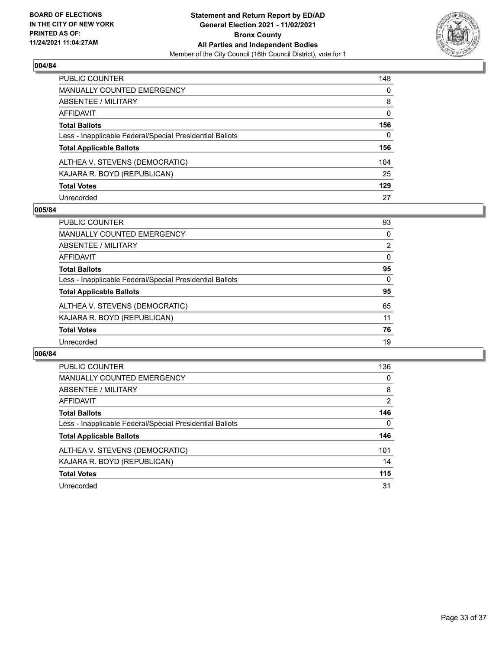

| PUBLIC COUNTER                                           | 148          |
|----------------------------------------------------------|--------------|
| MANUALLY COUNTED EMERGENCY                               | $\mathbf{0}$ |
| ABSENTEE / MILITARY                                      | 8            |
| <b>AFFIDAVIT</b>                                         | $\mathbf{0}$ |
| <b>Total Ballots</b>                                     | 156          |
| Less - Inapplicable Federal/Special Presidential Ballots | 0            |
| <b>Total Applicable Ballots</b>                          | 156          |
| ALTHEA V. STEVENS (DEMOCRATIC)                           | 104          |
| KAJARA R. BOYD (REPUBLICAN)                              | 25           |
| <b>Total Votes</b>                                       | 129          |
| Unrecorded                                               | 27           |

## **005/84**

| PUBLIC COUNTER                                           | 93             |
|----------------------------------------------------------|----------------|
| <b>MANUALLY COUNTED EMERGENCY</b>                        | $\Omega$       |
| ABSENTEE / MILITARY                                      | $\overline{2}$ |
| AFFIDAVIT                                                | $\Omega$       |
| <b>Total Ballots</b>                                     | 95             |
| Less - Inapplicable Federal/Special Presidential Ballots | $\Omega$       |
| <b>Total Applicable Ballots</b>                          | 95             |
| ALTHEA V. STEVENS (DEMOCRATIC)                           | 65             |
| KAJARA R. BOYD (REPUBLICAN)                              | 11             |
| <b>Total Votes</b>                                       | 76             |
| Unrecorded                                               | 19             |

| PUBLIC COUNTER                                           | 136 |
|----------------------------------------------------------|-----|
| <b>MANUALLY COUNTED EMERGENCY</b>                        | 0   |
| ABSENTEE / MILITARY                                      | 8   |
| <b>AFFIDAVIT</b>                                         | 2   |
| <b>Total Ballots</b>                                     | 146 |
| Less - Inapplicable Federal/Special Presidential Ballots | 0   |
| <b>Total Applicable Ballots</b>                          | 146 |
| ALTHEA V. STEVENS (DEMOCRATIC)                           | 101 |
| KAJARA R. BOYD (REPUBLICAN)                              | 14  |
| <b>Total Votes</b>                                       | 115 |
| Unrecorded                                               | 31  |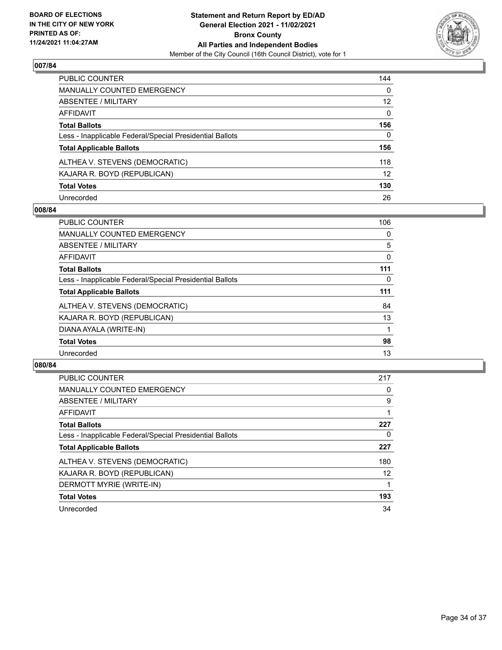

| PUBLIC COUNTER                                           | 144             |
|----------------------------------------------------------|-----------------|
| MANUALLY COUNTED EMERGENCY                               | $\mathbf{0}$    |
| ABSENTEE / MILITARY                                      | 12 <sup>2</sup> |
| <b>AFFIDAVIT</b>                                         | $\mathbf{0}$    |
| <b>Total Ballots</b>                                     | 156             |
| Less - Inapplicable Federal/Special Presidential Ballots | $\mathbf{0}$    |
| <b>Total Applicable Ballots</b>                          | 156             |
| ALTHEA V. STEVENS (DEMOCRATIC)                           | 118             |
| KAJARA R. BOYD (REPUBLICAN)                              | 12              |
| <b>Total Votes</b>                                       | 130             |
| Unrecorded                                               | 26              |

## **008/84**

| <b>PUBLIC COUNTER</b>                                    | 106 |
|----------------------------------------------------------|-----|
| <b>MANUALLY COUNTED EMERGENCY</b>                        | 0   |
| ABSENTEE / MILITARY                                      | 5   |
| AFFIDAVIT                                                | 0   |
| <b>Total Ballots</b>                                     | 111 |
| Less - Inapplicable Federal/Special Presidential Ballots | 0   |
| <b>Total Applicable Ballots</b>                          | 111 |
| ALTHEA V. STEVENS (DEMOCRATIC)                           | 84  |
| KAJARA R. BOYD (REPUBLICAN)                              | 13  |
| DIANA AYALA (WRITE-IN)                                   |     |
| <b>Total Votes</b>                                       | 98  |
| Unrecorded                                               | 13  |

| <b>PUBLIC COUNTER</b>                                    | 217 |
|----------------------------------------------------------|-----|
| <b>MANUALLY COUNTED EMERGENCY</b>                        | 0   |
| ABSENTEE / MILITARY                                      | 9   |
| AFFIDAVIT                                                |     |
| <b>Total Ballots</b>                                     | 227 |
| Less - Inapplicable Federal/Special Presidential Ballots | 0   |
| <b>Total Applicable Ballots</b>                          | 227 |
| ALTHEA V. STEVENS (DEMOCRATIC)                           | 180 |
| KAJARA R. BOYD (REPUBLICAN)                              | 12  |
| DERMOTT MYRIE (WRITE-IN)                                 |     |
| <b>Total Votes</b>                                       | 193 |
| Unrecorded                                               | 34  |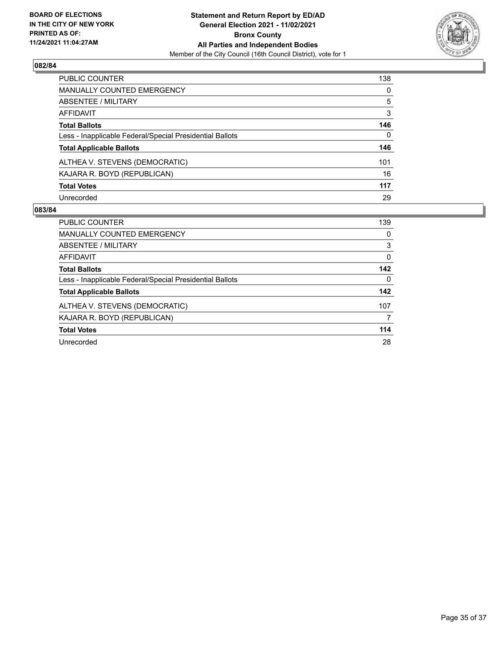

| PUBLIC COUNTER                                           | 138          |
|----------------------------------------------------------|--------------|
| MANUALLY COUNTED EMERGENCY                               | $\mathbf{0}$ |
| <b>ABSENTEE / MILITARY</b>                               | 5            |
| AFFIDAVIT                                                | 3            |
| <b>Total Ballots</b>                                     | 146          |
| Less - Inapplicable Federal/Special Presidential Ballots | $\mathbf{0}$ |
| <b>Total Applicable Ballots</b>                          | 146          |
| ALTHEA V. STEVENS (DEMOCRATIC)                           | 101          |
| KAJARA R. BOYD (REPUBLICAN)                              | 16           |
| <b>Total Votes</b>                                       | 117          |
| Unrecorded                                               | 29           |

| PUBLIC COUNTER                                           | 139      |
|----------------------------------------------------------|----------|
| <b>MANUALLY COUNTED EMERGENCY</b>                        | $\Omega$ |
| ABSENTEE / MILITARY                                      | 3        |
| AFFIDAVIT                                                | $\Omega$ |
| <b>Total Ballots</b>                                     | 142      |
| Less - Inapplicable Federal/Special Presidential Ballots | $\Omega$ |
| <b>Total Applicable Ballots</b>                          | 142      |
| ALTHEA V. STEVENS (DEMOCRATIC)                           | 107      |
| KAJARA R. BOYD (REPUBLICAN)                              | 7        |
| <b>Total Votes</b>                                       | 114      |
| Unrecorded                                               | 28       |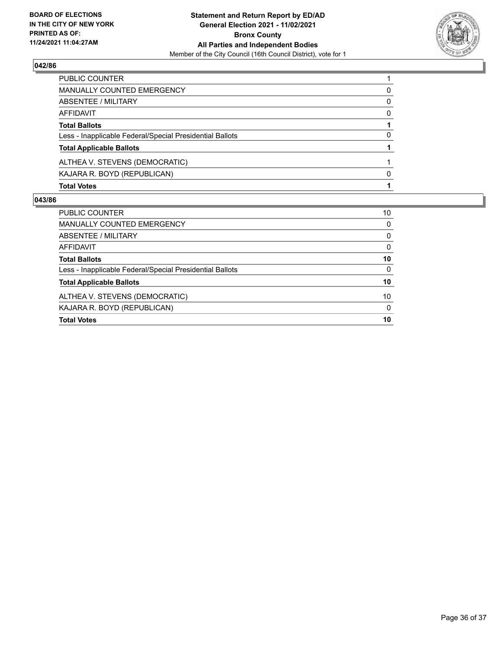

| <b>Total Votes</b>                                       |              |
|----------------------------------------------------------|--------------|
| KAJARA R. BOYD (REPUBLICAN)                              | <sup>0</sup> |
| ALTHEA V. STEVENS (DEMOCRATIC)                           |              |
| <b>Total Applicable Ballots</b>                          |              |
| Less - Inapplicable Federal/Special Presidential Ballots | 0            |
| <b>Total Ballots</b>                                     |              |
| AFFIDAVIT                                                | 0            |
| <b>ABSENTEE / MILITARY</b>                               | 0            |
| <b>MANUALLY COUNTED EMERGENCY</b>                        | 0            |
| PUBLIC COUNTER                                           |              |

| <b>Total Votes</b>                                       | 10       |
|----------------------------------------------------------|----------|
| KAJARA R. BOYD (REPUBLICAN)                              | $\Omega$ |
| ALTHEA V. STEVENS (DEMOCRATIC)                           | 10       |
| <b>Total Applicable Ballots</b>                          | 10       |
| Less - Inapplicable Federal/Special Presidential Ballots | $\Omega$ |
| <b>Total Ballots</b>                                     | 10       |
| AFFIDAVIT                                                | $\Omega$ |
| ABSENTEE / MILITARY                                      | $\Omega$ |
| MANUALLY COUNTED EMERGENCY                               | 0        |
| <b>PUBLIC COUNTER</b>                                    | 10       |